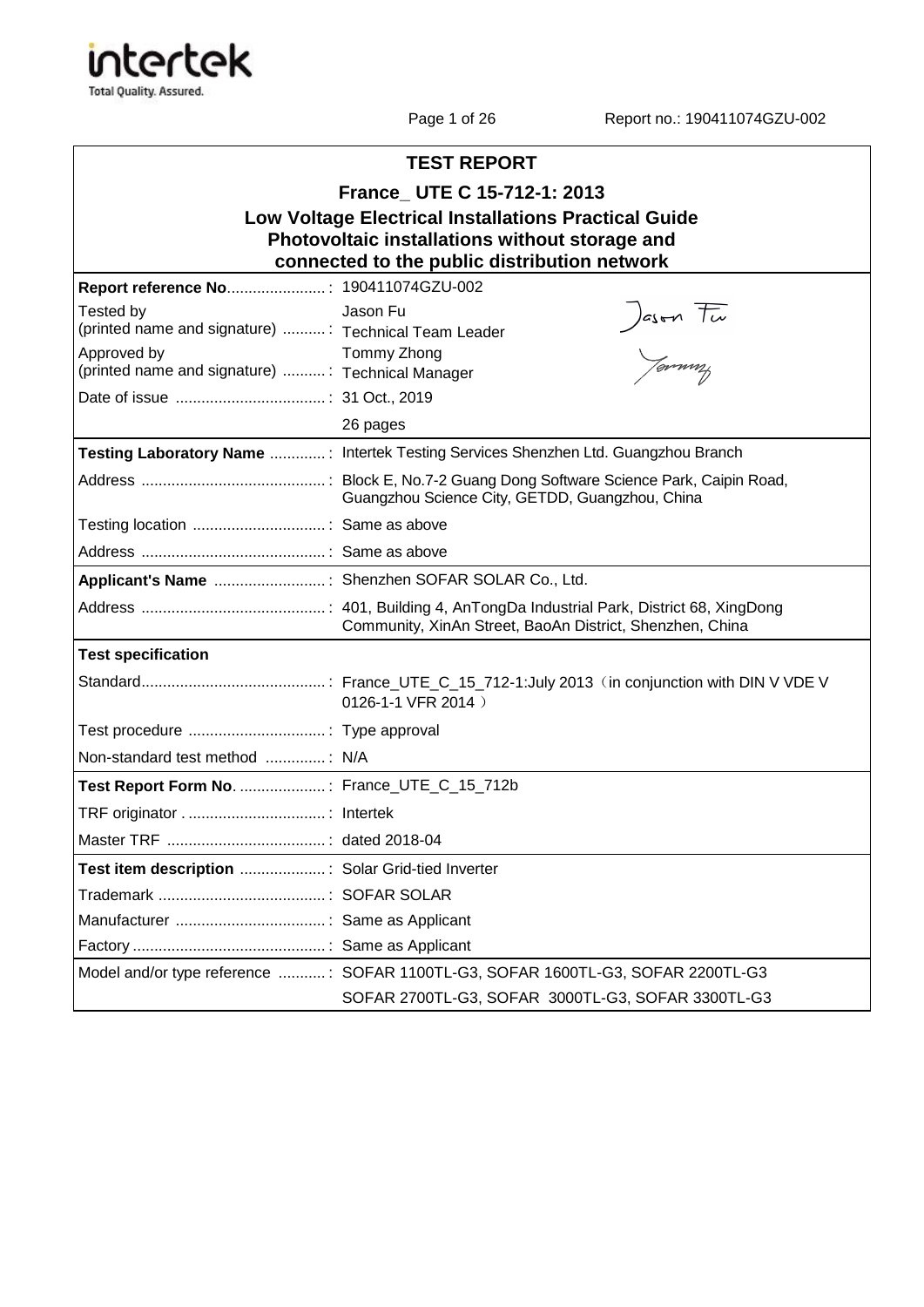

Page 1 of 26 Report no.: 190411074GZU-002

| <b>TEST REPORT</b>                                               |                                                                                    |  |  |  |
|------------------------------------------------------------------|------------------------------------------------------------------------------------|--|--|--|
| France_ UTE C 15-712-1: 2013                                     |                                                                                    |  |  |  |
|                                                                  | <b>Low Voltage Electrical Installations Practical Guide</b>                        |  |  |  |
|                                                                  | Photovoltaic installations without storage and                                     |  |  |  |
|                                                                  | connected to the public distribution network                                       |  |  |  |
|                                                                  |                                                                                    |  |  |  |
| Tested by<br>(printed name and signature)  Technical Team Leader | Jason Fu<br>Jason Fu                                                               |  |  |  |
| Approved by                                                      | Tommy Zhong                                                                        |  |  |  |
| (printed name and signature) : Technical Manager                 |                                                                                    |  |  |  |
|                                                                  |                                                                                    |  |  |  |
|                                                                  | 26 pages                                                                           |  |  |  |
|                                                                  | Testing Laboratory Name : Intertek Testing Services Shenzhen Ltd. Guangzhou Branch |  |  |  |
|                                                                  | Guangzhou Science City, GETDD, Guangzhou, China                                    |  |  |  |
|                                                                  |                                                                                    |  |  |  |
|                                                                  |                                                                                    |  |  |  |
| Applicant's Name : Shenzhen SOFAR SOLAR Co., Ltd.                |                                                                                    |  |  |  |
|                                                                  | Community, XinAn Street, BaoAn District, Shenzhen, China                           |  |  |  |
| <b>Test specification</b>                                        |                                                                                    |  |  |  |
|                                                                  | 0126-1-1 VFR 2014)                                                                 |  |  |  |
|                                                                  |                                                                                    |  |  |  |
| Non-standard test method  N/A                                    |                                                                                    |  |  |  |
| Test Report Form No. : France_UTE_C_15_712b                      |                                                                                    |  |  |  |
|                                                                  |                                                                                    |  |  |  |
|                                                                  |                                                                                    |  |  |  |
| Test item description  : Solar Grid-tied Inverter                |                                                                                    |  |  |  |
|                                                                  |                                                                                    |  |  |  |
|                                                                  |                                                                                    |  |  |  |
|                                                                  |                                                                                    |  |  |  |
|                                                                  | Model and/or type reference : SOFAR 1100TL-G3, SOFAR 1600TL-G3, SOFAR 2200TL-G3    |  |  |  |
|                                                                  | SOFAR 2700TL-G3, SOFAR 3000TL-G3, SOFAR 3300TL-G3                                  |  |  |  |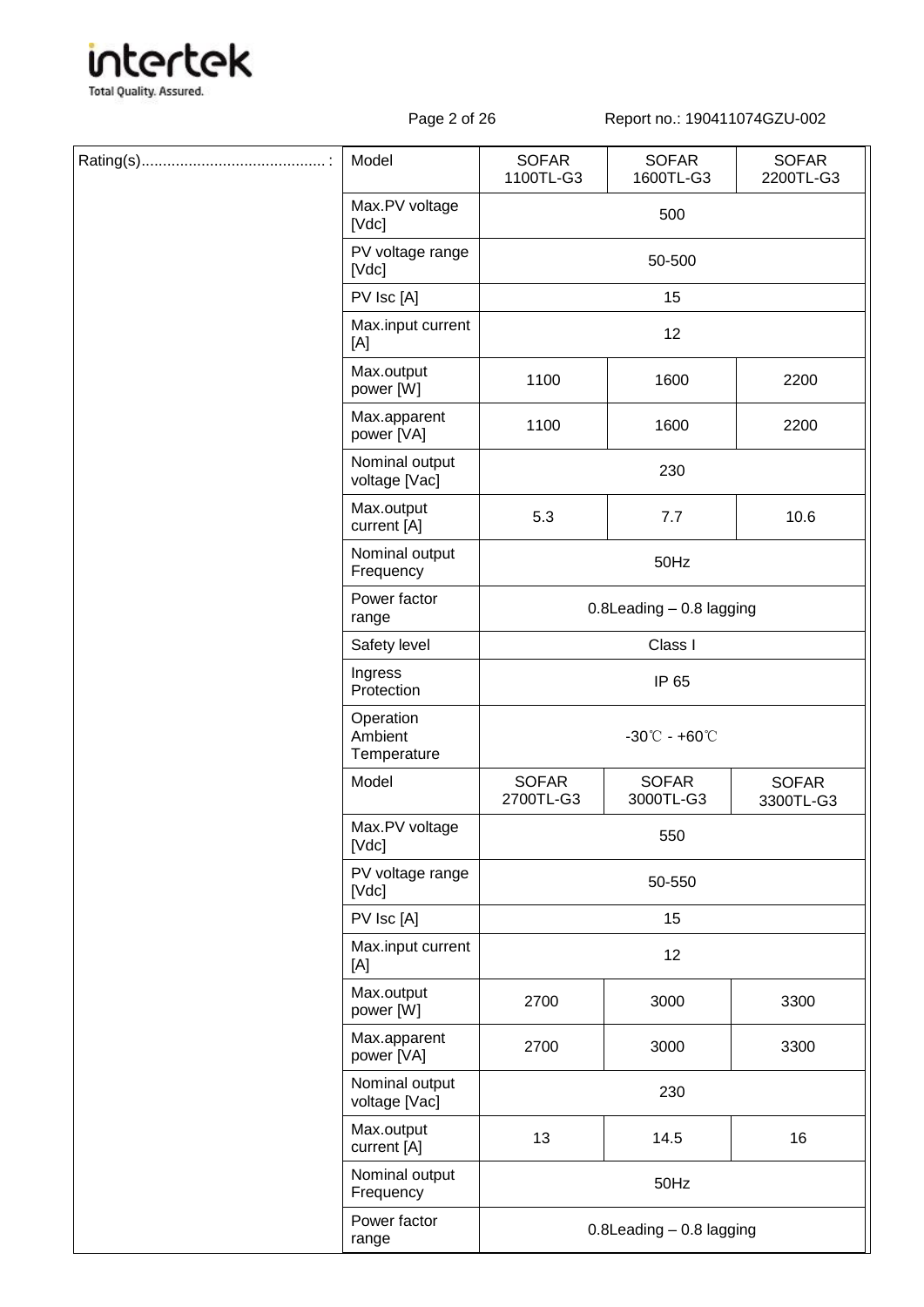

Page 2 of 26 Report no.: 190411074GZU-002

|  | Model                               | <b>SOFAR</b><br>1100TL-G3          | <b>SOFAR</b><br>1600TL-G3    | <b>SOFAR</b><br>2200TL-G3 |  |
|--|-------------------------------------|------------------------------------|------------------------------|---------------------------|--|
|  | Max.PV voltage<br>[Vdc]             |                                    | 500                          |                           |  |
|  | PV voltage range<br>[Vdc]           | 50-500                             |                              |                           |  |
|  | PV Isc [A]                          |                                    | 15                           |                           |  |
|  | Max.input current<br>[A]            | 12                                 |                              |                           |  |
|  | Max.output<br>power [W]             | 1100                               | 1600                         | 2200                      |  |
|  | Max.apparent<br>power [VA]          | 1100                               | 1600                         | 2200                      |  |
|  | Nominal output<br>voltage [Vac]     |                                    | 230                          |                           |  |
|  | Max.output<br>current [A]           | 5.3                                | 7.7                          | 10.6                      |  |
|  | Nominal output<br>Frequency         |                                    | 50Hz                         |                           |  |
|  | Power factor<br>range               |                                    | $0.8$ Leading $-0.8$ lagging |                           |  |
|  | Safety level                        | Class I                            |                              |                           |  |
|  | Ingress<br>Protection               | IP 65                              |                              |                           |  |
|  | Operation<br>Ambient<br>Temperature | $-30^{\circ}$ C - +60 $^{\circ}$ C |                              |                           |  |
|  | Model                               | <b>SOFAR</b><br>2700TL-G3          | <b>SOFAR</b><br>3000TL-G3    | <b>SOFAR</b><br>3300TL-G3 |  |
|  | Max.PV voltage<br>[Vdc]             |                                    | 550                          |                           |  |
|  | PV voltage range<br>[Vdc]           | 50-550                             |                              |                           |  |
|  | PV Isc [A]                          |                                    | 15                           |                           |  |
|  | Max.input current<br>[A]            |                                    | 12                           |                           |  |
|  | Max.output<br>power [W]             | 2700                               | 3000                         | 3300                      |  |
|  | Max.apparent<br>power [VA]          | 2700                               | 3000                         | 3300                      |  |
|  | Nominal output<br>voltage [Vac]     |                                    | 230                          |                           |  |
|  | Max.output<br>current [A]           | 13                                 | 14.5                         | 16                        |  |
|  | Nominal output<br>Frequency         |                                    | 50Hz                         |                           |  |
|  | Power factor<br>range               |                                    | 0.8Leading - 0.8 lagging     |                           |  |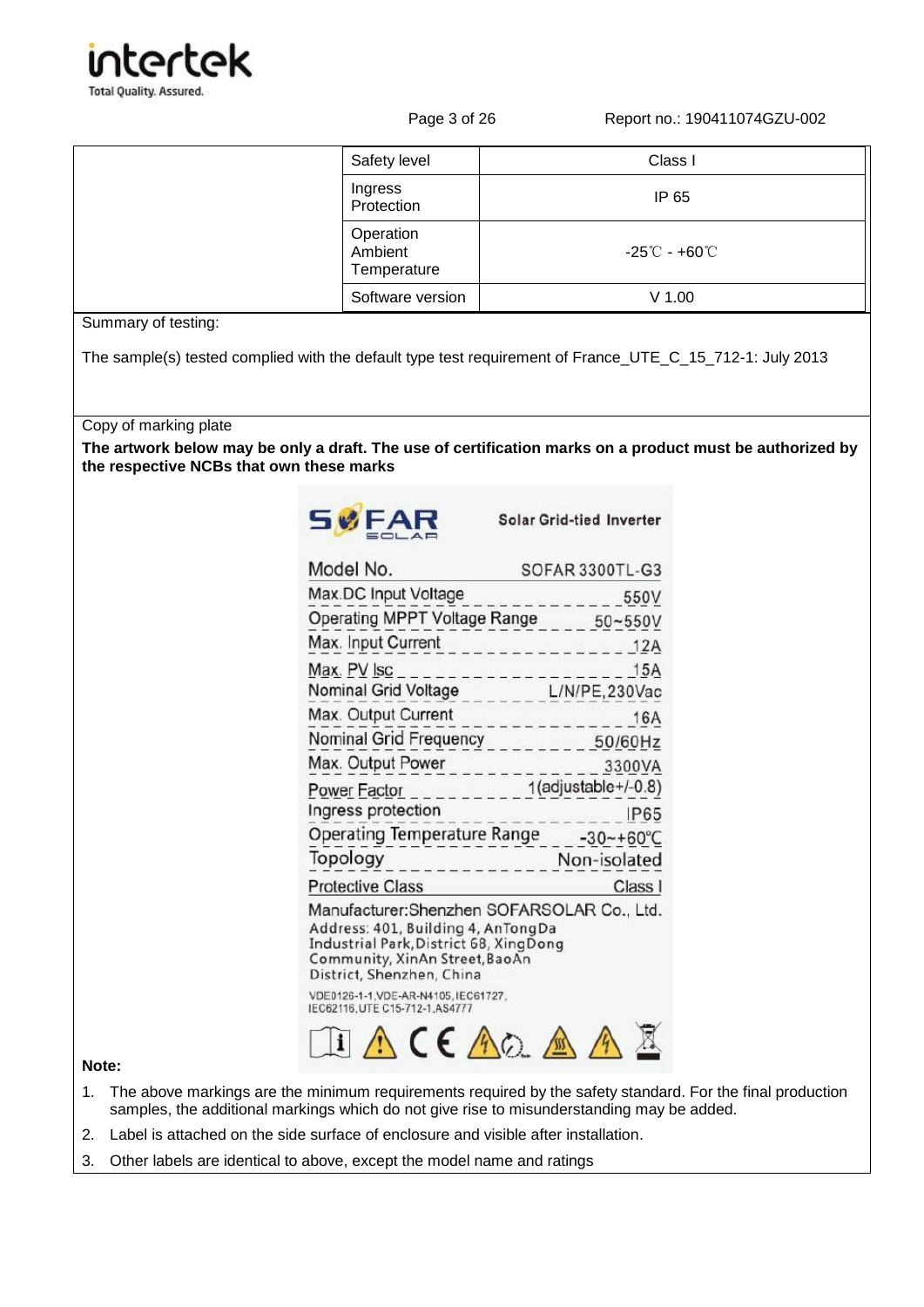

Page 3 of 26 Report no.: 190411074GZU-002

| Safety level                        | Class I                                            |
|-------------------------------------|----------------------------------------------------|
| Ingress<br>Protection               | IP 65                                              |
| Operation<br>Ambient<br>Temperature | $-25^{\circ}\mathrm{C}$ - +60 $^{\circ}\mathrm{C}$ |
| Software version                    | $V$ 1.00                                           |

### Summary of testing:

The sample(s) tested complied with the default type test requirement of France\_UTE\_C\_15\_712-1: July 2013

Copy of marking plate

**The artwork below may be only a draft. The use of certification marks on a product must be authorized by the respective NCBs that own these marks**



Solar Grid-tied Inverter

| Model No.                                                                                                                                                                                                                                                         | SOFAR 3300TL-G3         |
|-------------------------------------------------------------------------------------------------------------------------------------------------------------------------------------------------------------------------------------------------------------------|-------------------------|
| Max DC Input Voltage                                                                                                                                                                                                                                              | 550V                    |
| Operating MPPT Voltage Range 50~550V                                                                                                                                                                                                                              |                         |
| Max. Input Current                                                                                                                                                                                                                                                | $-1 - 1 - 1 - 1$<br>12A |
| Max. PV Isc                                                                                                                                                                                                                                                       | 15A                     |
| Nominal Grid Voltage                                                                                                                                                                                                                                              | L/N/PE, 230Vac          |
| Max. Output Current<br>المرتبة ساما                                                                                                                                                                                                                               | 16A                     |
| Nominal Grid Frequency                                                                                                                                                                                                                                            | 50/60Hz                 |
| Max. Output Power                                                                                                                                                                                                                                                 | 3300VA                  |
| <u>Power Factor</u> _ _ _ _ _ _ _ _                                                                                                                                                                                                                               | 1(adjustable+/-0.8)     |
| Ingress protection                                                                                                                                                                                                                                                | <b>P65</b>              |
| Operating Temperature Range -30~+60°C                                                                                                                                                                                                                             |                         |
| Topology                                                                                                                                                                                                                                                          | Non-isolated            |
| <b>Protective Class</b>                                                                                                                                                                                                                                           | Class I                 |
| Manufacturer:Shenzhen SOFARSOLAR Co., Ltd.<br>Address: 401, Building 4, AnTongDa<br>Industrial Park, District 68, Xing Dong<br>Community, XinAn Street, BaoAn<br>District, Shenzhen, China<br>VDE0126-1-1.VDE-AR-N4105.IEC61727.<br>IEC62116.UTE C15-712-1.AS4777 |                         |
|                                                                                                                                                                                                                                                                   |                         |

### **Note:**

- 1. The above markings are the minimum requirements required by the safety standard. For the final production samples, the additional markings which do not give rise to misunderstanding may be added.
- 2. Label is attached on the side surface of enclosure and visible after installation.
- 3. Other labels are identical to above, except the model name and ratings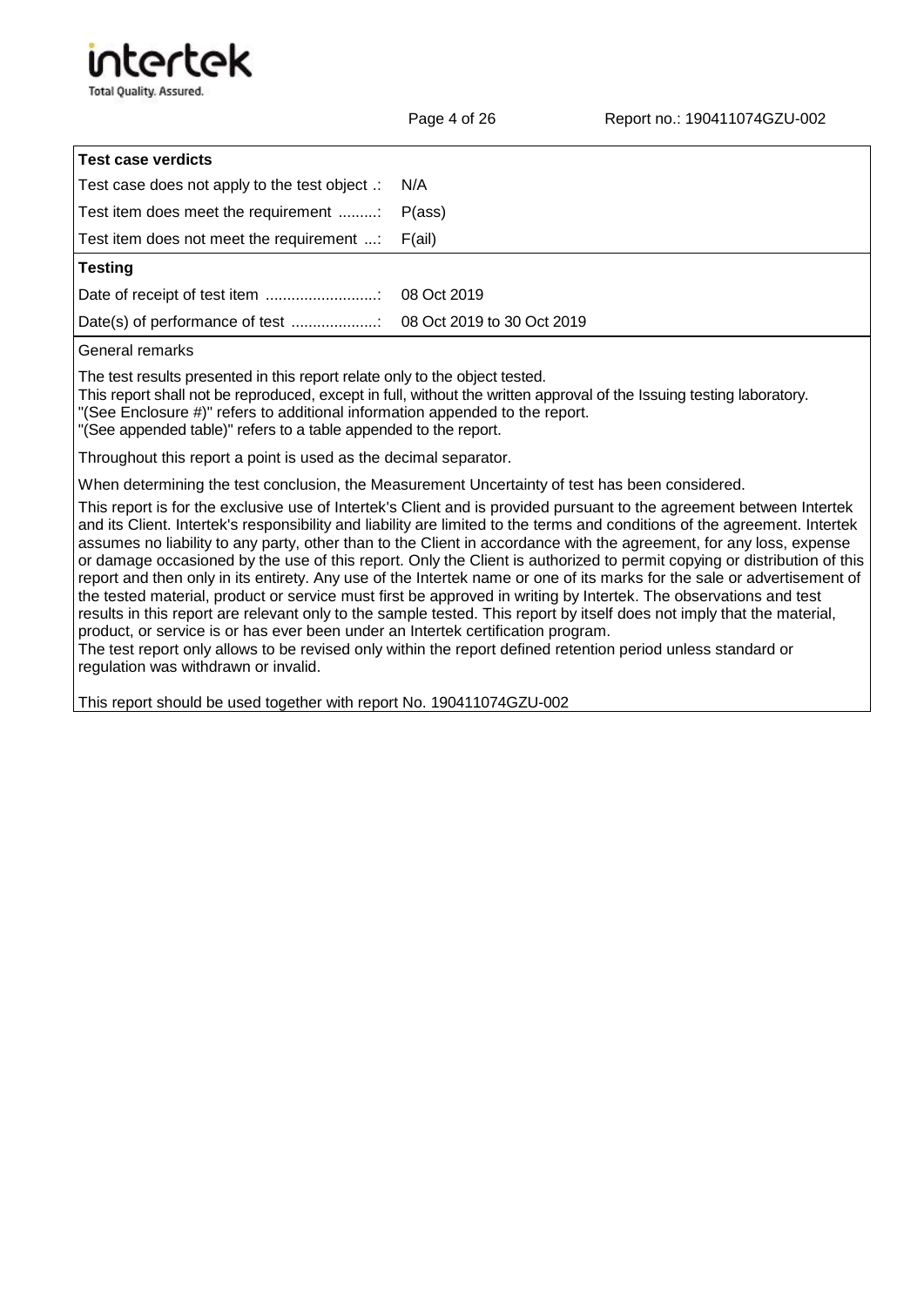

| <b>Test case verdicts</b>                          |                            |
|----------------------------------------------------|----------------------------|
| Test case does not apply to the test object .: N/A |                            |
| Test item does meet the requirement                | P(ass)                     |
| Test item does not meet the requirement :          | F(ai)                      |
| <b>Testing</b>                                     |                            |
|                                                    | 08 Oct 2019                |
|                                                    | 08 Oct 2019 to 30 Oct 2019 |
|                                                    |                            |

General remarks

The test results presented in this report relate only to the object tested.

This report shall not be reproduced, except in full, without the written approval of the Issuing testing laboratory.

"(See Enclosure #)" refers to additional information appended to the report.

"(See appended table)" refers to a table appended to the report.

Throughout this report a point is used as the decimal separator.

When determining the test conclusion, the Measurement Uncertainty of test has been considered.

This report is for the exclusive use of Intertek's Client and is provided pursuant to the agreement between Intertek and its Client. Intertek's responsibility and liability are limited to the terms and conditions of the agreement. Intertek assumes no liability to any party, other than to the Client in accordance with the agreement, for any loss, expense or damage occasioned by the use of this report. Only the Client is authorized to permit copying or distribution of this report and then only in its entirety. Any use of the Intertek name or one of its marks for the sale or advertisement of the tested material, product or service must first be approved in writing by Intertek. The observations and test results in this report are relevant only to the sample tested. This report by itself does not imply that the material, product, or service is or has ever been under an Intertek certification program.

The test report only allows to be revised only within the report defined retention period unless standard or regulation was withdrawn or invalid.

This report should be used together with report No. 190411074GZU-002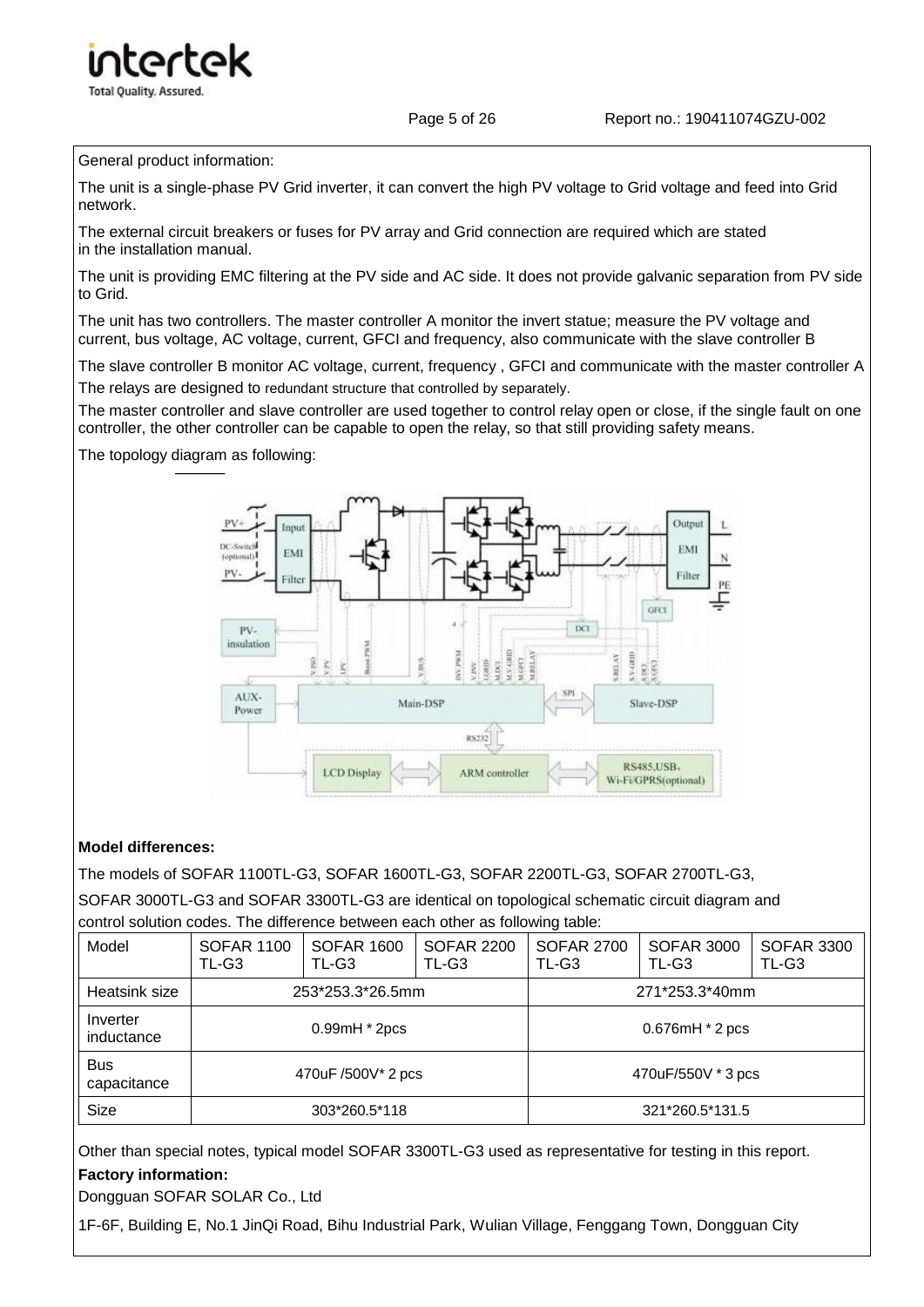Page 5 of 26 Report no.: 190411074GZU-002

The unit is a single-phase PV Grid inverter, it can convert the high PV voltage to Grid voltage and feed into Grid network.

The external circuit breakers or fuses for PV array and Grid connection are required which are stated in the installation manual.

The unit is providing EMC filtering at the PV side and AC side. It does not provide galvanic separation from PV side to Grid.

The unit has two controllers. The master controller A monitor the invert statue; measure the PV voltage and current, bus voltage, AC voltage, current, GFCI and frequency, also communicate with the slave controller B

The slave controller B monitor AC voltage, current, frequency , GFCI and communicate with the master controller A The relays are designed to redundant structure that controlled by separately.

The master controller and slave controller are used together to control relay open or close, if the single fault on one controller, the other controller can be capable to open the relay, so that still providing safety means.

The topology diagram as following:



### **Model differences:**

The models of SOFAR 1100TL-G3, SOFAR 1600TL-G3, SOFAR 2200TL-G3, SOFAR 2700TL-G3,

SOFAR 3000TL-G3 and SOFAR 3300TL-G3 are identical on topological schematic circuit diagram and control solution codes. The difference between each other as following table:

| Model                     | <b>SOFAR 1100</b><br>TL-G3 | <b>SOFAR 1600</b><br>TL-G3 | <b>SOFAR 2200</b><br>TL-G3 | <b>SOFAR 2700</b><br>TL-G3 | <b>SOFAR 3000</b><br>TL-G3 | <b>SOFAR 3300</b><br>TL-G3 |
|---------------------------|----------------------------|----------------------------|----------------------------|----------------------------|----------------------------|----------------------------|
| Heatsink size             |                            | 253*253.3*26.5mm           |                            | 271*253.3*40mm             |                            |                            |
| Inverter<br>inductance    |                            | $0.99mH * 2pcs$            |                            |                            | 0.676mH * 2 pcs            |                            |
| <b>Bus</b><br>capacitance | 470uF /500V* 2 pcs         |                            |                            | 470uF/550V * 3 pcs         |                            |                            |
| Size                      |                            | 303*260.5*118              |                            |                            | 321*260.5*131.5            |                            |

Other than special notes, typical model SOFAR 3300TL-G3 used as representative for testing in this report. **Factory information:**

Dongguan SOFAR SOLAR Co., Ltd

1F-6F, Building E, No.1 JinQi Road, Bihu Industrial Park, Wulian Village, Fenggang Town, Dongguan City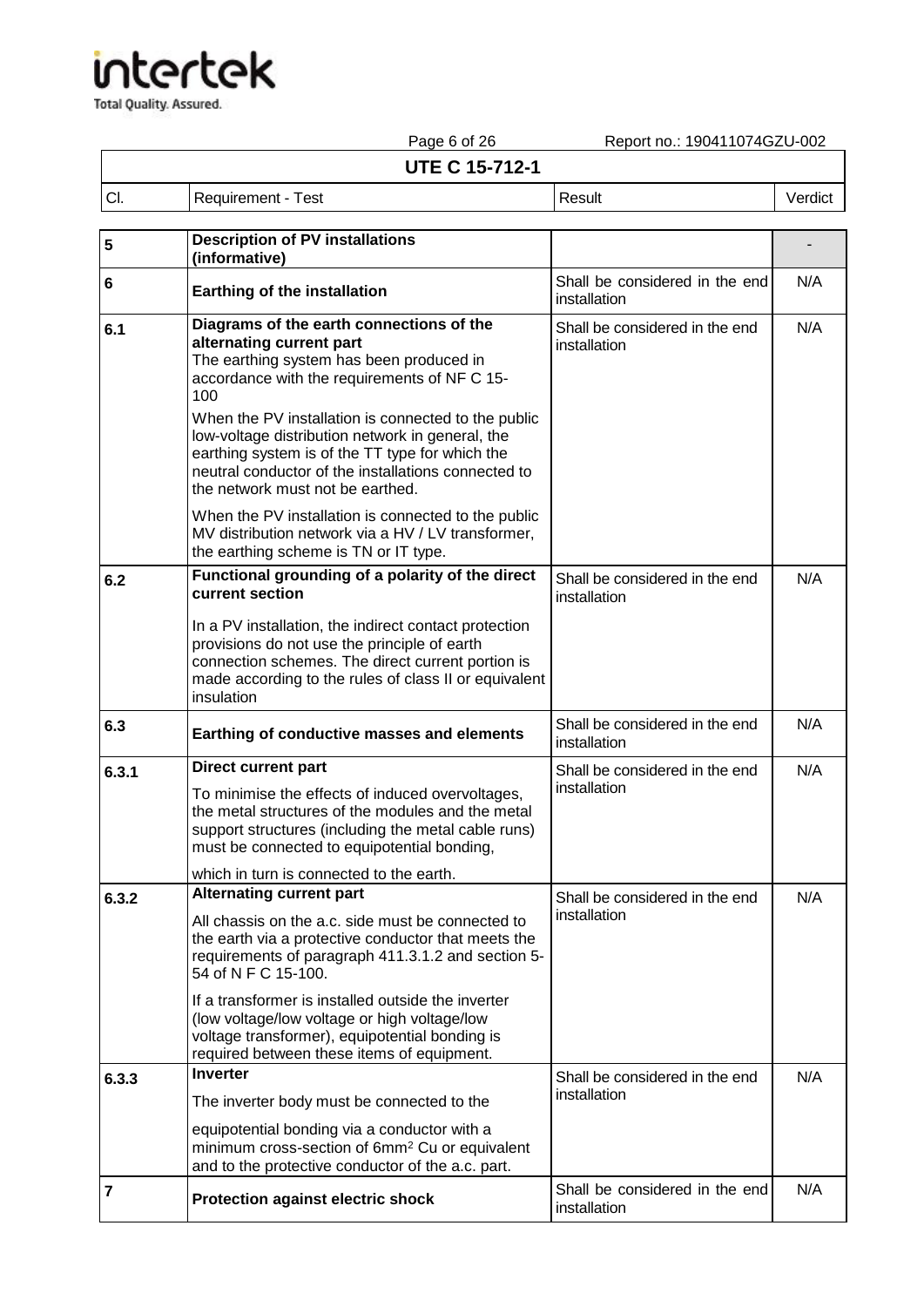**intertek** Total Quality. Assured.

Page 6 of 26 Report no.: 190411074GZU-002 **UTE C 15-712-1** Cl. Requirement - Test Result Result Result Result Result Result Result Result Result Result Result Result Result Result Result Result Result Result Result Result Result Result Result Result Result Result Result Result Res

| 5                       | <b>Description of PV installations</b><br>(informative)                                                                                                                                                                                                                            |                                                |     |
|-------------------------|------------------------------------------------------------------------------------------------------------------------------------------------------------------------------------------------------------------------------------------------------------------------------------|------------------------------------------------|-----|
| 6                       | <b>Earthing of the installation</b>                                                                                                                                                                                                                                                | Shall be considered in the end<br>installation | N/A |
| 6.1                     | Diagrams of the earth connections of the<br>alternating current part<br>The earthing system has been produced in<br>accordance with the requirements of NF C 15-<br>100<br>When the PV installation is connected to the public<br>low-voltage distribution network in general, the | Shall be considered in the end<br>installation | N/A |
|                         | earthing system is of the TT type for which the<br>neutral conductor of the installations connected to<br>the network must not be earthed.                                                                                                                                         |                                                |     |
|                         | When the PV installation is connected to the public<br>MV distribution network via a HV / LV transformer,<br>the earthing scheme is TN or IT type.                                                                                                                                 |                                                |     |
| 6.2                     | Functional grounding of a polarity of the direct<br>current section                                                                                                                                                                                                                | Shall be considered in the end<br>installation | N/A |
|                         | In a PV installation, the indirect contact protection<br>provisions do not use the principle of earth<br>connection schemes. The direct current portion is<br>made according to the rules of class II or equivalent<br>insulation                                                  |                                                |     |
| 6.3                     | Earthing of conductive masses and elements                                                                                                                                                                                                                                         | Shall be considered in the end<br>installation | N/A |
| 6.3.1                   | <b>Direct current part</b><br>To minimise the effects of induced overvoltages,<br>the metal structures of the modules and the metal<br>support structures (including the metal cable runs)<br>must be connected to equipotential bonding,                                          | Shall be considered in the end<br>installation | N/A |
|                         | which in turn is connected to the earth.                                                                                                                                                                                                                                           |                                                |     |
| 6.3.2                   | <b>Alternating current part</b><br>All chassis on the a.c. side must be connected to<br>the earth via a protective conductor that meets the<br>requirements of paragraph 411.3.1.2 and section 5-<br>54 of N F C 15-100.                                                           | Shall be considered in the end<br>installation | N/A |
|                         | If a transformer is installed outside the inverter<br>(low voltage/low voltage or high voltage/low<br>voltage transformer), equipotential bonding is<br>required between these items of equipment.                                                                                 |                                                |     |
| 6.3.3                   | <b>Inverter</b>                                                                                                                                                                                                                                                                    | Shall be considered in the end                 | N/A |
|                         | The inverter body must be connected to the                                                                                                                                                                                                                                         | installation                                   |     |
|                         | equipotential bonding via a conductor with a<br>minimum cross-section of 6mm <sup>2</sup> Cu or equivalent<br>and to the protective conductor of the a.c. part.                                                                                                                    |                                                |     |
| $\overline{\mathbf{7}}$ | <b>Protection against electric shock</b>                                                                                                                                                                                                                                           | Shall be considered in the end<br>installation | N/A |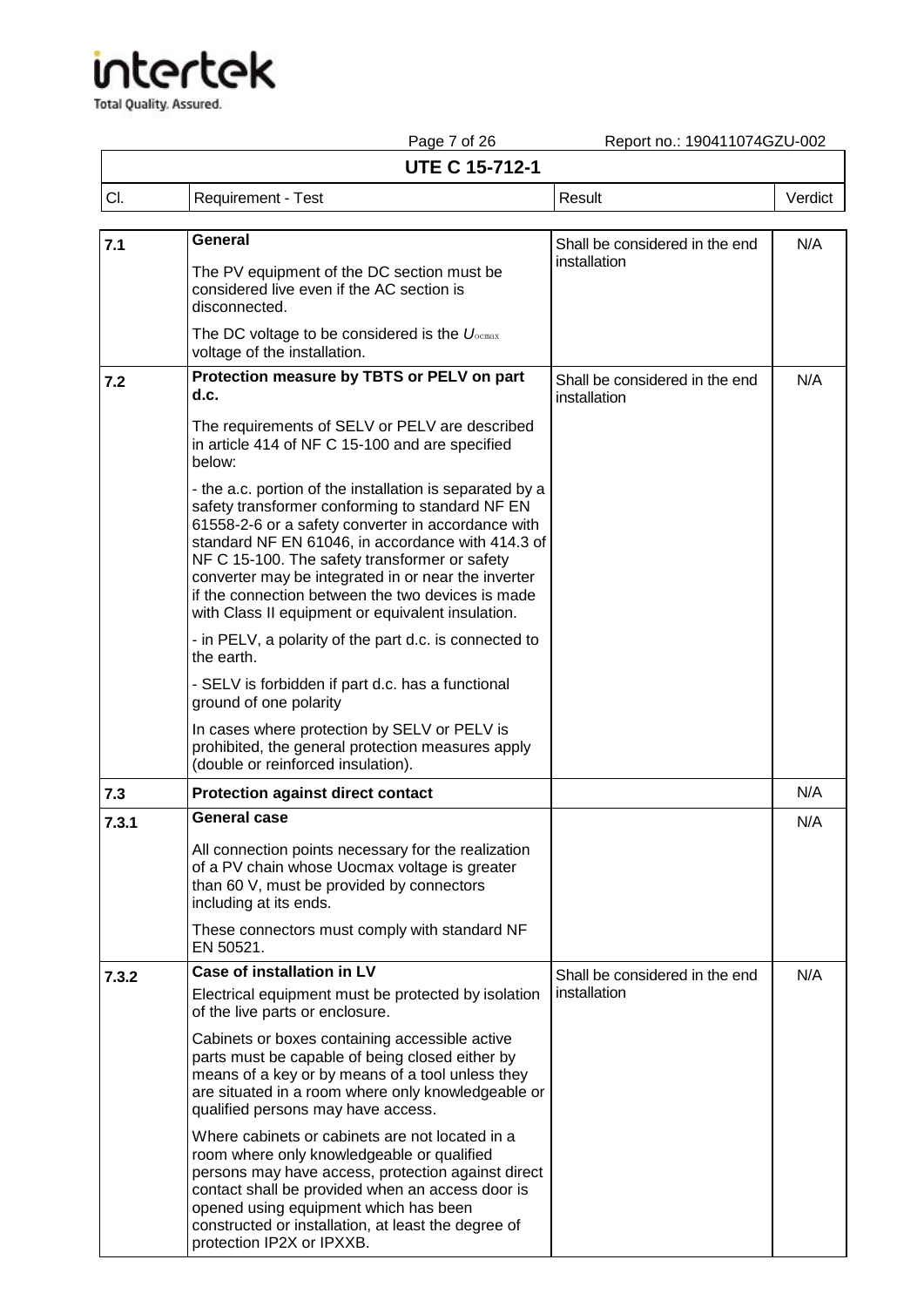Total Quality. Assured.

Report no.: 190411074GZU-002

┑

## Page 7 of 26<br>**UTE C 15-712-1**

| .<br><b>UTE C 15-712-1</b> |                    |        |         |
|----------------------------|--------------------|--------|---------|
| CI.                        | Requirement - Test | Result | √erdict |

| 7.1   | General                                                                                                                                                                                                                                                                                                                                                                                                                                  | Shall be considered in the end                 | N/A |
|-------|------------------------------------------------------------------------------------------------------------------------------------------------------------------------------------------------------------------------------------------------------------------------------------------------------------------------------------------------------------------------------------------------------------------------------------------|------------------------------------------------|-----|
|       | The PV equipment of the DC section must be<br>considered live even if the AC section is<br>disconnected.                                                                                                                                                                                                                                                                                                                                 | installation                                   |     |
|       | The DC voltage to be considered is the $U_{\text{ocmax}}$<br>voltage of the installation.                                                                                                                                                                                                                                                                                                                                                |                                                |     |
| 7.2   | Protection measure by TBTS or PELV on part<br>d.c.                                                                                                                                                                                                                                                                                                                                                                                       | Shall be considered in the end<br>installation | N/A |
|       | The requirements of SELV or PELV are described<br>in article 414 of NF C 15-100 and are specified<br>below:                                                                                                                                                                                                                                                                                                                              |                                                |     |
|       | - the a.c. portion of the installation is separated by a<br>safety transformer conforming to standard NF EN<br>61558-2-6 or a safety converter in accordance with<br>standard NF EN 61046, in accordance with 414.3 of<br>NF C 15-100. The safety transformer or safety<br>converter may be integrated in or near the inverter<br>if the connection between the two devices is made<br>with Class II equipment or equivalent insulation. |                                                |     |
|       | - in PELV, a polarity of the part d.c. is connected to<br>the earth.                                                                                                                                                                                                                                                                                                                                                                     |                                                |     |
|       | - SELV is forbidden if part d.c. has a functional<br>ground of one polarity                                                                                                                                                                                                                                                                                                                                                              |                                                |     |
|       | In cases where protection by SELV or PELV is<br>prohibited, the general protection measures apply<br>(double or reinforced insulation).                                                                                                                                                                                                                                                                                                  |                                                |     |
| 7.3   | <b>Protection against direct contact</b>                                                                                                                                                                                                                                                                                                                                                                                                 |                                                | N/A |
| 7.3.1 | <b>General case</b>                                                                                                                                                                                                                                                                                                                                                                                                                      |                                                | N/A |
|       | All connection points necessary for the realization<br>of a PV chain whose Uocmax voltage is greater<br>than 60 V, must be provided by connectors<br>including at its ends.                                                                                                                                                                                                                                                              |                                                |     |
|       | These connectors must comply with standard NF<br>EN 50521.                                                                                                                                                                                                                                                                                                                                                                               |                                                |     |
| 7.3.2 | <b>Case of installation in LV</b>                                                                                                                                                                                                                                                                                                                                                                                                        | Shall be considered in the end                 | N/A |
|       | Electrical equipment must be protected by isolation<br>of the live parts or enclosure.                                                                                                                                                                                                                                                                                                                                                   | installation                                   |     |
|       | Cabinets or boxes containing accessible active<br>parts must be capable of being closed either by<br>means of a key or by means of a tool unless they<br>are situated in a room where only knowledgeable or<br>qualified persons may have access.                                                                                                                                                                                        |                                                |     |
|       | Where cabinets or cabinets are not located in a<br>room where only knowledgeable or qualified<br>persons may have access, protection against direct<br>contact shall be provided when an access door is<br>opened using equipment which has been<br>constructed or installation, at least the degree of                                                                                                                                  |                                                |     |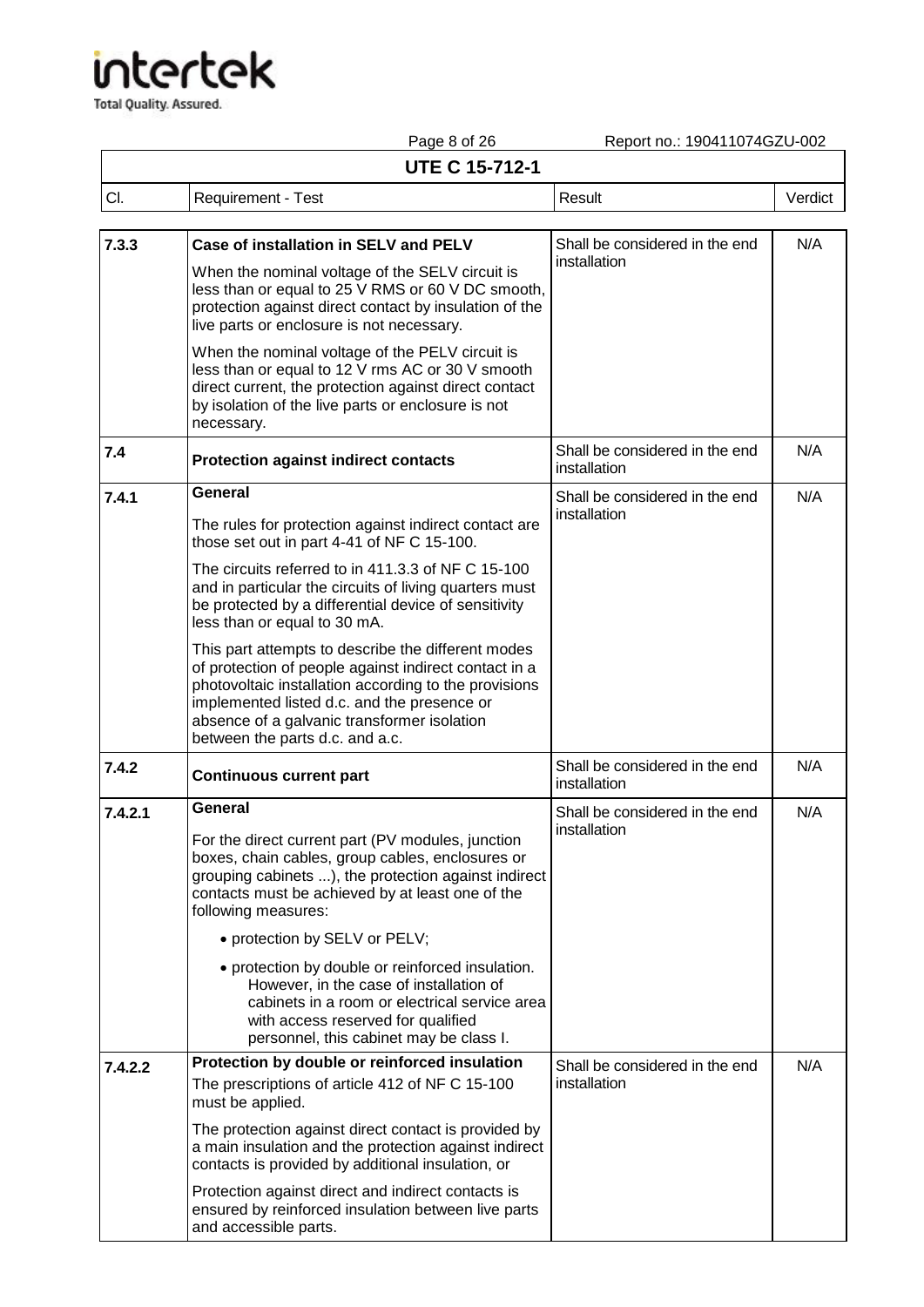|         | Page 8 of 26                                                                                                                                                                                                                                                                                          | Report no.: 190411074GZU-002                   |         |
|---------|-------------------------------------------------------------------------------------------------------------------------------------------------------------------------------------------------------------------------------------------------------------------------------------------------------|------------------------------------------------|---------|
|         | <b>UTE C 15-712-1</b>                                                                                                                                                                                                                                                                                 |                                                |         |
| CI.     | <b>Requirement - Test</b>                                                                                                                                                                                                                                                                             | Result                                         | Verdict |
| 7.3.3   | Case of installation in SELV and PELV                                                                                                                                                                                                                                                                 | Shall be considered in the end<br>installation | N/A     |
|         | When the nominal voltage of the SELV circuit is<br>less than or equal to 25 V RMS or 60 V DC smooth,<br>protection against direct contact by insulation of the<br>live parts or enclosure is not necessary.                                                                                           |                                                |         |
|         | When the nominal voltage of the PELV circuit is<br>less than or equal to 12 V rms AC or 30 V smooth<br>direct current, the protection against direct contact<br>by isolation of the live parts or enclosure is not<br>necessary.                                                                      |                                                |         |
| 7.4     | <b>Protection against indirect contacts</b>                                                                                                                                                                                                                                                           | Shall be considered in the end<br>installation | N/A     |
| 7.4.1   | General                                                                                                                                                                                                                                                                                               | Shall be considered in the end                 | N/A     |
|         | The rules for protection against indirect contact are<br>those set out in part 4-41 of NF C 15-100.                                                                                                                                                                                                   | installation                                   |         |
|         | The circuits referred to in 411.3.3 of NF C 15-100<br>and in particular the circuits of living quarters must<br>be protected by a differential device of sensitivity<br>less than or equal to 30 mA.                                                                                                  |                                                |         |
|         | This part attempts to describe the different modes<br>of protection of people against indirect contact in a<br>photovoltaic installation according to the provisions<br>implemented listed d.c. and the presence or<br>absence of a galvanic transformer isolation<br>between the parts d.c. and a.c. |                                                |         |
| 7.4.2   | <b>Continuous current part</b>                                                                                                                                                                                                                                                                        | Shall be considered in the end<br>installation | N/A     |
| 7.4.2.1 | General<br>For the direct current part (PV modules, junction<br>boxes, chain cables, group cables, enclosures or<br>grouping cabinets ), the protection against indirect<br>contacts must be achieved by at least one of the<br>following measures:                                                   | Shall be considered in the end<br>installation | N/A     |
|         | • protection by SELV or PELV;                                                                                                                                                                                                                                                                         |                                                |         |
|         | • protection by double or reinforced insulation.<br>However, in the case of installation of<br>cabinets in a room or electrical service area<br>with access reserved for qualified<br>personnel, this cabinet may be class I.                                                                         |                                                |         |
| 7.4.2.2 | Protection by double or reinforced insulation                                                                                                                                                                                                                                                         | Shall be considered in the end                 | N/A     |
|         | The prescriptions of article 412 of NF C 15-100<br>must be applied.                                                                                                                                                                                                                                   | installation                                   |         |
|         | The protection against direct contact is provided by<br>a main insulation and the protection against indirect<br>contacts is provided by additional insulation, or                                                                                                                                    |                                                |         |
|         | Protection against direct and indirect contacts is<br>ensured by reinforced insulation between live parts<br>and accessible parts.                                                                                                                                                                    |                                                |         |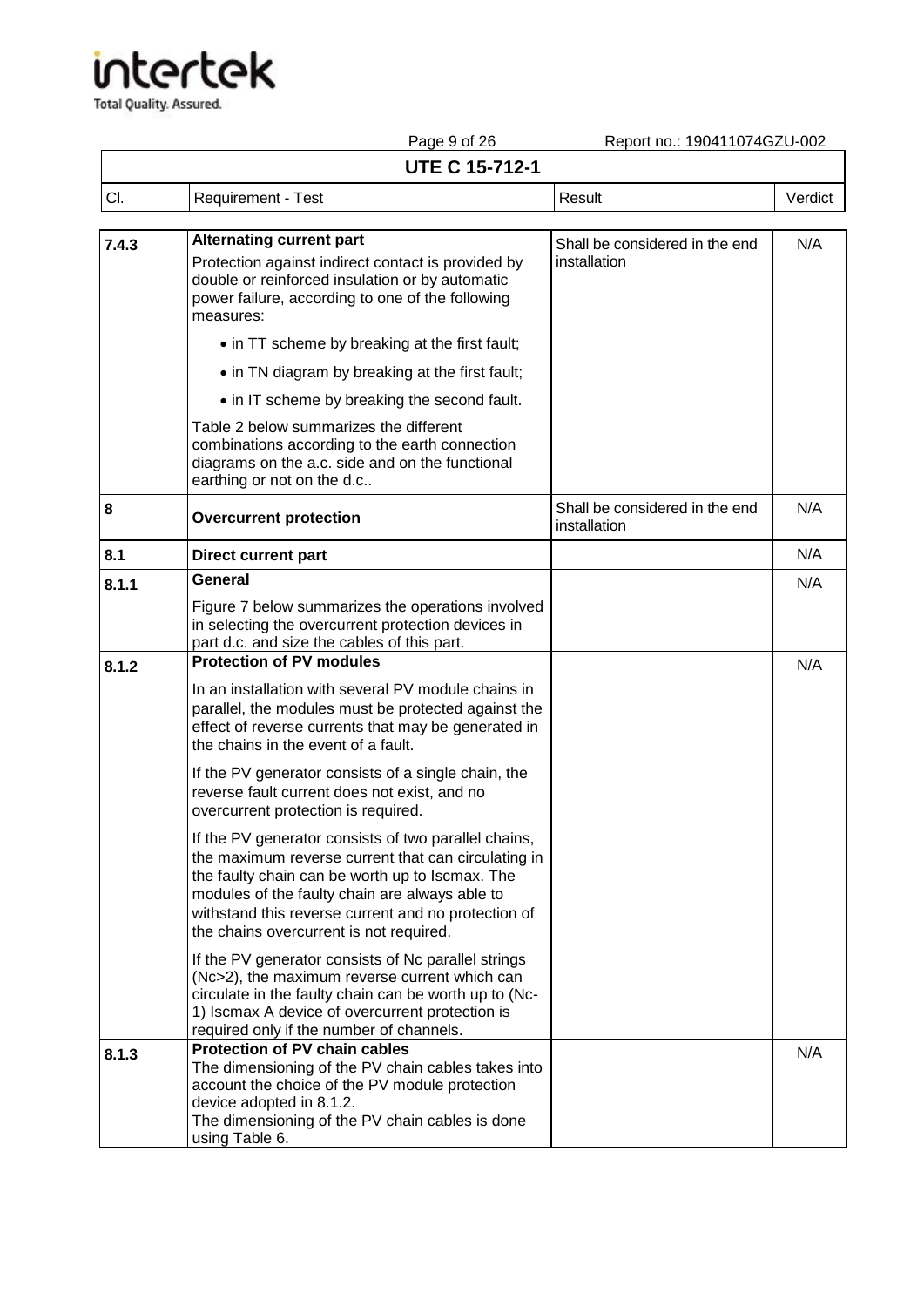**Total Quality. Assured.** 

Page 9 of 26 Report no.: 190411074GZU-002

|       | i aye o vi zu<br><b>UTE C 15-712-1</b>                                                                                                                                                                                                                                                                             | Neport No. 1904 LTD POZO-002                   |         |
|-------|--------------------------------------------------------------------------------------------------------------------------------------------------------------------------------------------------------------------------------------------------------------------------------------------------------------------|------------------------------------------------|---------|
|       |                                                                                                                                                                                                                                                                                                                    |                                                |         |
| CI.   | Requirement - Test                                                                                                                                                                                                                                                                                                 | Result                                         | Verdict |
| 7.4.3 | <b>Alternating current part</b><br>Protection against indirect contact is provided by<br>double or reinforced insulation or by automatic<br>power failure, according to one of the following<br>measures:                                                                                                          | Shall be considered in the end<br>installation | N/A     |
|       | • in TT scheme by breaking at the first fault;                                                                                                                                                                                                                                                                     |                                                |         |
|       | • in TN diagram by breaking at the first fault;                                                                                                                                                                                                                                                                    |                                                |         |
|       | • in IT scheme by breaking the second fault.                                                                                                                                                                                                                                                                       |                                                |         |
|       | Table 2 below summarizes the different<br>combinations according to the earth connection<br>diagrams on the a.c. side and on the functional<br>earthing or not on the d.c                                                                                                                                          |                                                |         |
| 8     | <b>Overcurrent protection</b>                                                                                                                                                                                                                                                                                      | Shall be considered in the end<br>installation | N/A     |
| 8.1   | <b>Direct current part</b>                                                                                                                                                                                                                                                                                         |                                                | N/A     |
| 8.1.1 | <b>General</b>                                                                                                                                                                                                                                                                                                     |                                                | N/A     |
|       | Figure 7 below summarizes the operations involved<br>in selecting the overcurrent protection devices in<br>part d.c. and size the cables of this part.                                                                                                                                                             |                                                |         |
| 8.1.2 | <b>Protection of PV modules</b>                                                                                                                                                                                                                                                                                    |                                                | N/A     |
|       | In an installation with several PV module chains in<br>parallel, the modules must be protected against the<br>effect of reverse currents that may be generated in<br>the chains in the event of a fault.                                                                                                           |                                                |         |
|       | If the PV generator consists of a single chain, the<br>reverse fault current does not exist, and no<br>overcurrent protection is required.                                                                                                                                                                         |                                                |         |
|       | If the PV generator consists of two parallel chains,<br>the maximum reverse current that can circulating in<br>the faulty chain can be worth up to Iscmax. The<br>modules of the faulty chain are always able to<br>withstand this reverse current and no protection of<br>the chains overcurrent is not required. |                                                |         |
|       | If the PV generator consists of Nc parallel strings<br>(Nc>2), the maximum reverse current which can<br>circulate in the faulty chain can be worth up to (Nc-<br>1) Iscmax A device of overcurrent protection is<br>required only if the number of channels.                                                       |                                                |         |
| 8.1.3 | Protection of PV chain cables<br>The dimensioning of the PV chain cables takes into<br>account the choice of the PV module protection<br>device adopted in 8.1.2.<br>The dimensioning of the PV chain cables is done<br>using Table 6.                                                                             |                                                | N/A     |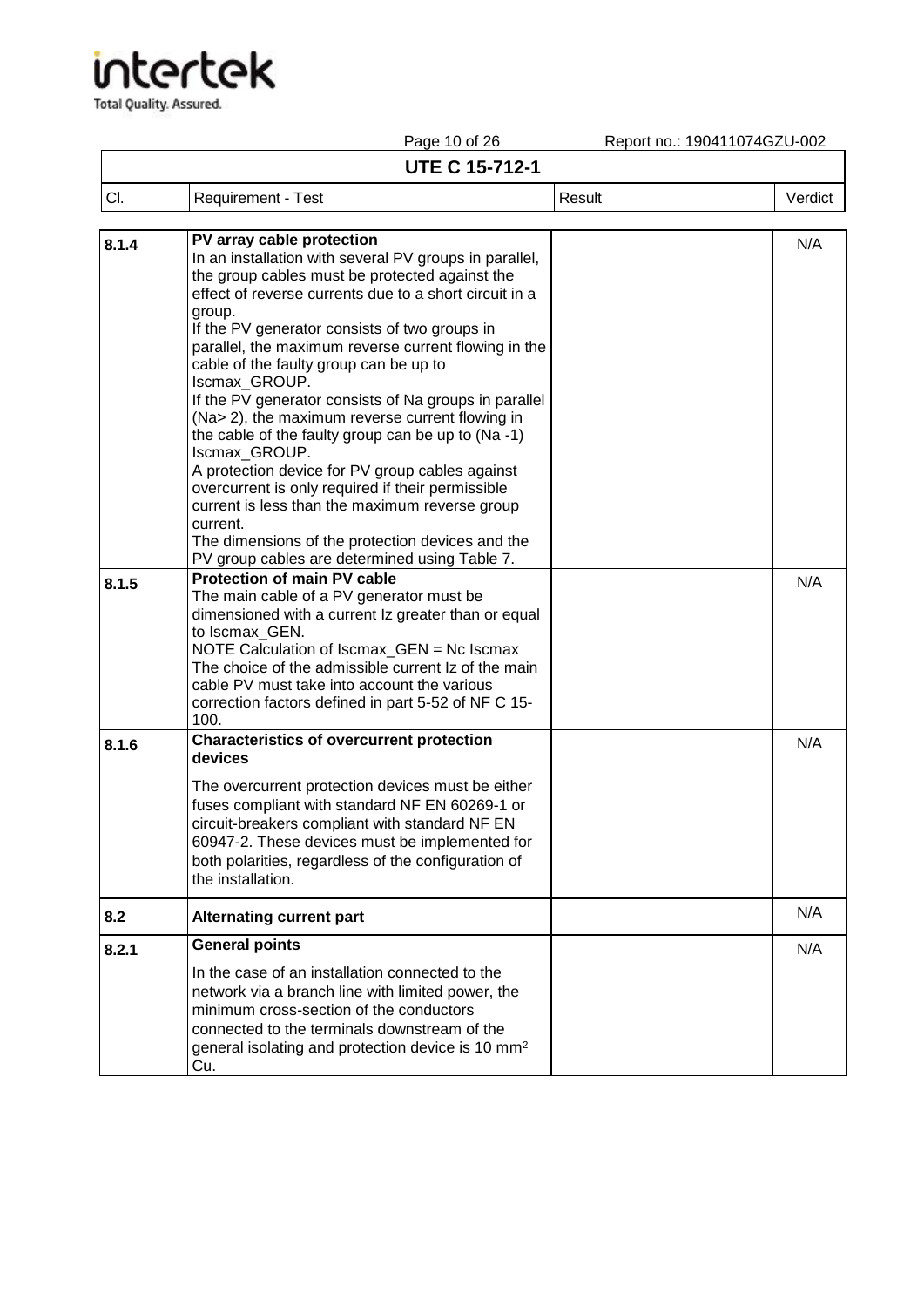|       | Page 10 of 26                                                                                                                                                                                                                                                                                                                                                                                                                                                                                                                                                                                                      | Report no.: 190411074GZU-002 |         |
|-------|--------------------------------------------------------------------------------------------------------------------------------------------------------------------------------------------------------------------------------------------------------------------------------------------------------------------------------------------------------------------------------------------------------------------------------------------------------------------------------------------------------------------------------------------------------------------------------------------------------------------|------------------------------|---------|
|       | <b>UTE C 15-712-1</b>                                                                                                                                                                                                                                                                                                                                                                                                                                                                                                                                                                                              |                              |         |
| CI.   | <b>Requirement - Test</b>                                                                                                                                                                                                                                                                                                                                                                                                                                                                                                                                                                                          | Result                       | Verdict |
| 8.1.4 | PV array cable protection<br>In an installation with several PV groups in parallel,<br>the group cables must be protected against the<br>effect of reverse currents due to a short circuit in a<br>group.<br>If the PV generator consists of two groups in<br>parallel, the maximum reverse current flowing in the<br>cable of the faulty group can be up to<br>Iscmax_GROUP.<br>If the PV generator consists of Na groups in parallel<br>(Na> 2), the maximum reverse current flowing in<br>the cable of the faulty group can be up to (Na-1)<br>Iscmax GROUP.<br>A protection device for PV group cables against |                              | N/A     |
|       | overcurrent is only required if their permissible<br>current is less than the maximum reverse group<br>current.<br>The dimensions of the protection devices and the<br>PV group cables are determined using Table 7.                                                                                                                                                                                                                                                                                                                                                                                               |                              |         |
| 8.1.5 | <b>Protection of main PV cable</b><br>The main cable of a PV generator must be<br>dimensioned with a current Iz greater than or equal<br>to Iscmax_GEN.<br>NOTE Calculation of Iscmax_GEN = Nc Iscmax<br>The choice of the admissible current Iz of the main<br>cable PV must take into account the various<br>correction factors defined in part 5-52 of NF C 15-<br>100.                                                                                                                                                                                                                                         |                              | N/A     |
| 8.1.6 | <b>Characteristics of overcurrent protection</b><br>devices<br>The overcurrent protection devices must be either<br>fuses compliant with standard NF EN 60269-1 or<br>circuit-breakers compliant with standard NF EN<br>60947-2. These devices must be implemented for<br>both polarities, regardless of the configuration of<br>the installation.                                                                                                                                                                                                                                                                 |                              | N/A     |
| 8.2   | <b>Alternating current part</b>                                                                                                                                                                                                                                                                                                                                                                                                                                                                                                                                                                                    |                              | N/A     |
| 8.2.1 | <b>General points</b><br>In the case of an installation connected to the<br>network via a branch line with limited power, the<br>minimum cross-section of the conductors<br>connected to the terminals downstream of the<br>general isolating and protection device is 10 mm <sup>2</sup><br>Cu.                                                                                                                                                                                                                                                                                                                   |                              | N/A     |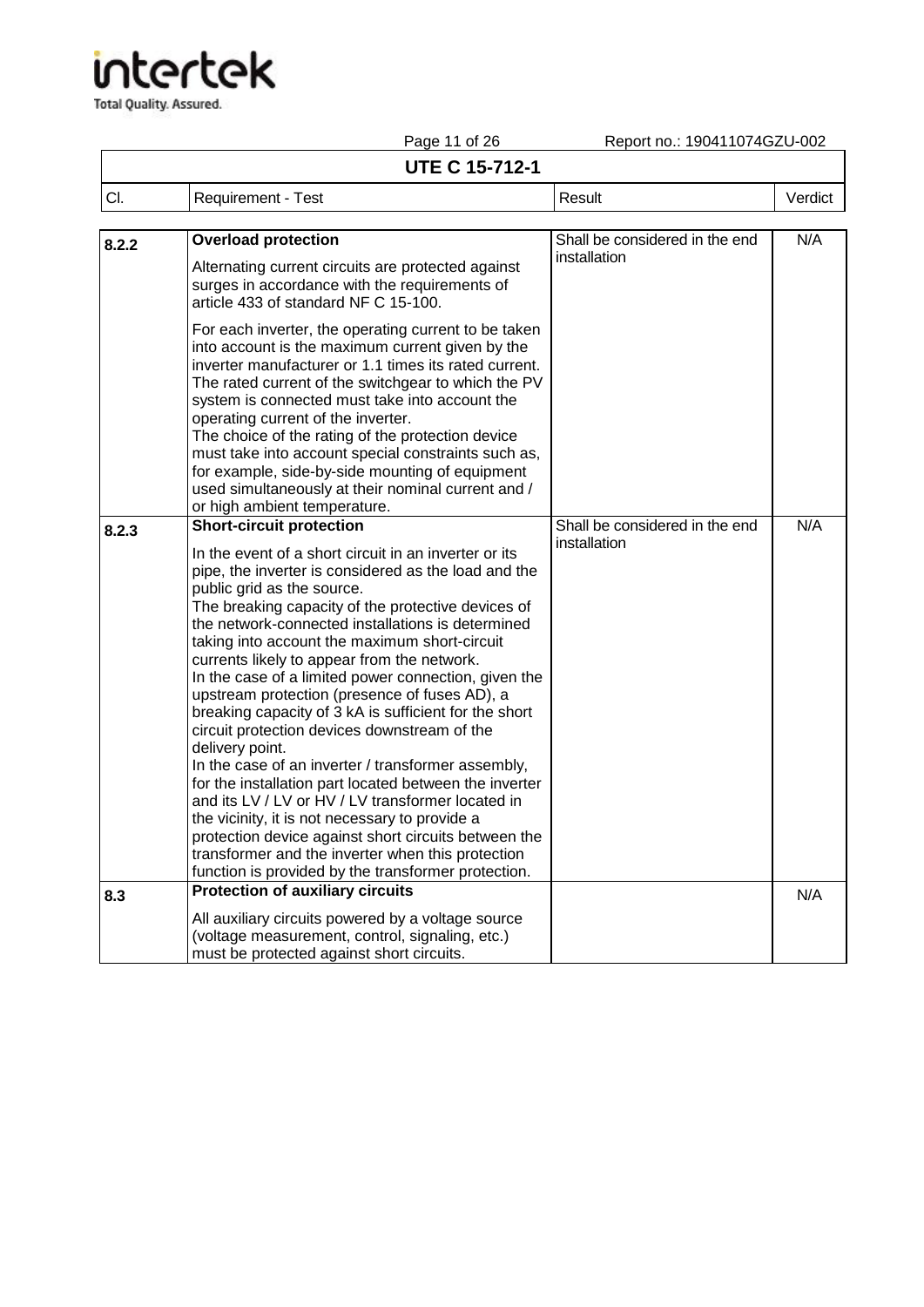Total Quality. Assured.

Page 11 of 26 Report no.: 190411074GZU-002

### **UTE C 15-712-1**

| CI.   | Requirement - Test                                                                                                                                                                                                                                                                                                                                                                                                                                                                                                                                                                                                                                                                                                                                                                                                                                                                                                                                                                                                        | Result                                         | Verdict |
|-------|---------------------------------------------------------------------------------------------------------------------------------------------------------------------------------------------------------------------------------------------------------------------------------------------------------------------------------------------------------------------------------------------------------------------------------------------------------------------------------------------------------------------------------------------------------------------------------------------------------------------------------------------------------------------------------------------------------------------------------------------------------------------------------------------------------------------------------------------------------------------------------------------------------------------------------------------------------------------------------------------------------------------------|------------------------------------------------|---------|
| 8.2.2 | <b>Overload protection</b>                                                                                                                                                                                                                                                                                                                                                                                                                                                                                                                                                                                                                                                                                                                                                                                                                                                                                                                                                                                                | Shall be considered in the end                 | N/A     |
|       | Alternating current circuits are protected against<br>surges in accordance with the requirements of<br>article 433 of standard NF C 15-100.                                                                                                                                                                                                                                                                                                                                                                                                                                                                                                                                                                                                                                                                                                                                                                                                                                                                               | installation                                   |         |
|       | For each inverter, the operating current to be taken<br>into account is the maximum current given by the<br>inverter manufacturer or 1.1 times its rated current.<br>The rated current of the switchgear to which the PV<br>system is connected must take into account the<br>operating current of the inverter.<br>The choice of the rating of the protection device<br>must take into account special constraints such as,<br>for example, side-by-side mounting of equipment<br>used simultaneously at their nominal current and /<br>or high ambient temperature.                                                                                                                                                                                                                                                                                                                                                                                                                                                     |                                                |         |
| 8.2.3 | <b>Short-circuit protection</b><br>In the event of a short circuit in an inverter or its<br>pipe, the inverter is considered as the load and the<br>public grid as the source.<br>The breaking capacity of the protective devices of<br>the network-connected installations is determined<br>taking into account the maximum short-circuit<br>currents likely to appear from the network.<br>In the case of a limited power connection, given the<br>upstream protection (presence of fuses AD), a<br>breaking capacity of 3 kA is sufficient for the short<br>circuit protection devices downstream of the<br>delivery point.<br>In the case of an inverter / transformer assembly,<br>for the installation part located between the inverter<br>and its LV / LV or HV / LV transformer located in<br>the vicinity, it is not necessary to provide a<br>protection device against short circuits between the<br>transformer and the inverter when this protection<br>function is provided by the transformer protection. | Shall be considered in the end<br>installation | N/A     |
| 8.3   | <b>Protection of auxiliary circuits</b>                                                                                                                                                                                                                                                                                                                                                                                                                                                                                                                                                                                                                                                                                                                                                                                                                                                                                                                                                                                   |                                                | N/A     |
|       | All auxiliary circuits powered by a voltage source<br>(voltage measurement, control, signaling, etc.)<br>must be protected against short circuits.                                                                                                                                                                                                                                                                                                                                                                                                                                                                                                                                                                                                                                                                                                                                                                                                                                                                        |                                                |         |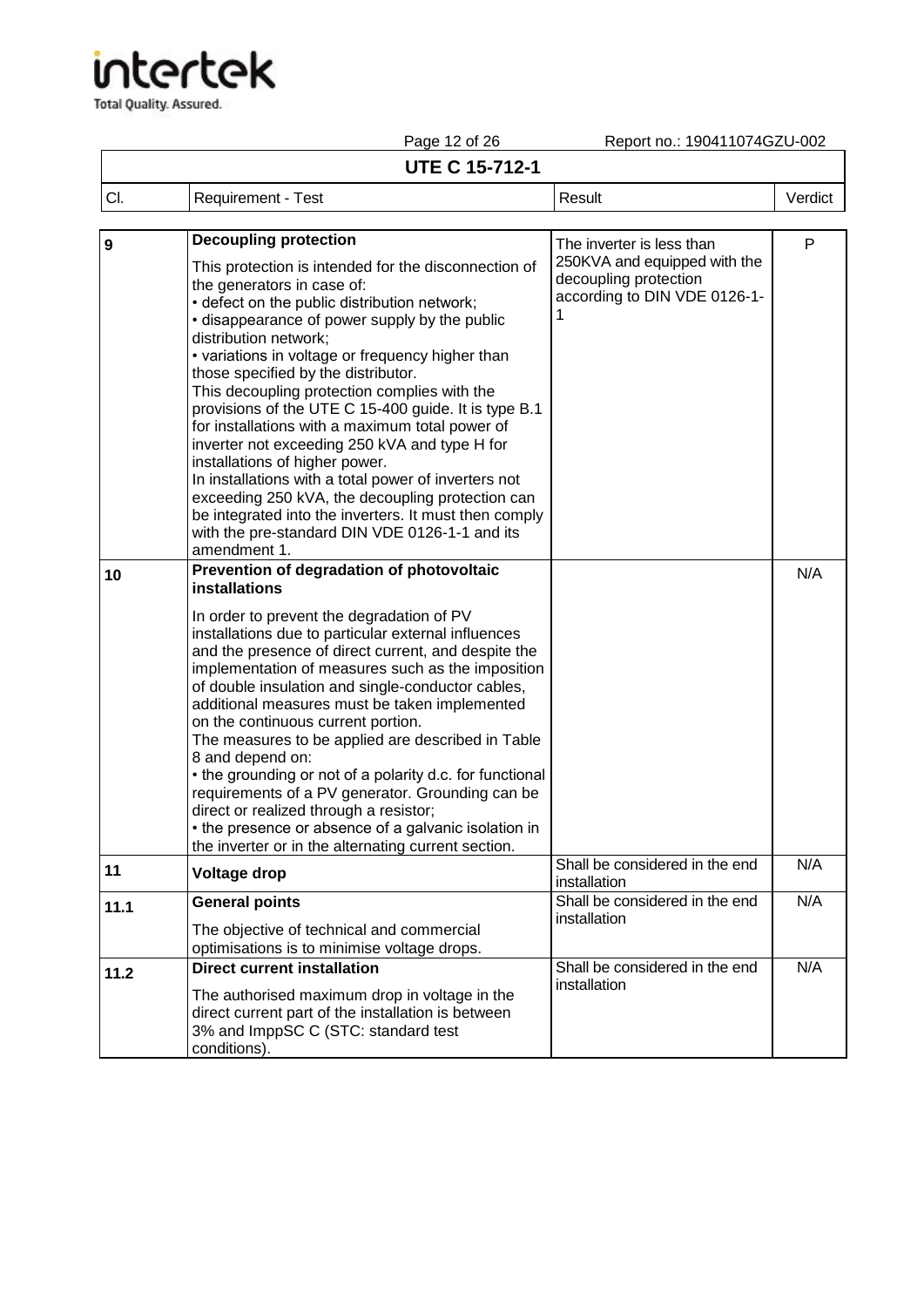Total Quality. Assured.

### Page 12 of 26 Report no.: 190411074GZU-002

٦

|     |                    | .                     | 1999 UNIVERSITY 1919 1920 |         |
|-----|--------------------|-----------------------|---------------------------|---------|
|     |                    | <b>UTE C 15-712-1</b> |                           |         |
| CI. | Requirement - Test |                       | Result                    | Verdict |
|     |                    |                       |                           |         |

| $\mathbf{9}$ | <b>Decoupling protection</b>                                                                                                                                                                                                                                                                                                                                                                                                                                                                                                                                                                                                                                                                                                                                                                 | The inverter is less than                                                                  | P   |
|--------------|----------------------------------------------------------------------------------------------------------------------------------------------------------------------------------------------------------------------------------------------------------------------------------------------------------------------------------------------------------------------------------------------------------------------------------------------------------------------------------------------------------------------------------------------------------------------------------------------------------------------------------------------------------------------------------------------------------------------------------------------------------------------------------------------|--------------------------------------------------------------------------------------------|-----|
|              | This protection is intended for the disconnection of<br>the generators in case of:<br>• defect on the public distribution network;<br>• disappearance of power supply by the public<br>distribution network;<br>• variations in voltage or frequency higher than<br>those specified by the distributor.<br>This decoupling protection complies with the<br>provisions of the UTE C 15-400 guide. It is type B.1<br>for installations with a maximum total power of<br>inverter not exceeding 250 kVA and type H for<br>installations of higher power.<br>In installations with a total power of inverters not<br>exceeding 250 kVA, the decoupling protection can<br>be integrated into the inverters. It must then comply<br>with the pre-standard DIN VDE 0126-1-1 and its<br>amendment 1. | 250KVA and equipped with the<br>decoupling protection<br>according to DIN VDE 0126-1-<br>1 |     |
| 10           | Prevention of degradation of photovoltaic<br>installations                                                                                                                                                                                                                                                                                                                                                                                                                                                                                                                                                                                                                                                                                                                                   |                                                                                            | N/A |
|              | In order to prevent the degradation of PV<br>installations due to particular external influences<br>and the presence of direct current, and despite the<br>implementation of measures such as the imposition<br>of double insulation and single-conductor cables,<br>additional measures must be taken implemented<br>on the continuous current portion.<br>The measures to be applied are described in Table<br>8 and depend on:<br>• the grounding or not of a polarity d.c. for functional<br>requirements of a PV generator. Grounding can be<br>direct or realized through a resistor;<br>• the presence or absence of a galvanic isolation in<br>the inverter or in the alternating current section.                                                                                   |                                                                                            |     |
| 11           | <b>Voltage drop</b>                                                                                                                                                                                                                                                                                                                                                                                                                                                                                                                                                                                                                                                                                                                                                                          | Shall be considered in the end<br>installation                                             | N/A |
| 11.1         | <b>General points</b>                                                                                                                                                                                                                                                                                                                                                                                                                                                                                                                                                                                                                                                                                                                                                                        | Shall be considered in the end                                                             | N/A |
|              | The objective of technical and commercial<br>optimisations is to minimise voltage drops.                                                                                                                                                                                                                                                                                                                                                                                                                                                                                                                                                                                                                                                                                                     | installation                                                                               |     |
| 11.2         | <b>Direct current installation</b>                                                                                                                                                                                                                                                                                                                                                                                                                                                                                                                                                                                                                                                                                                                                                           | Shall be considered in the end                                                             | N/A |
|              | The authorised maximum drop in voltage in the<br>direct current part of the installation is between<br>3% and ImppSC C (STC: standard test<br>conditions).                                                                                                                                                                                                                                                                                                                                                                                                                                                                                                                                                                                                                                   | installation                                                                               |     |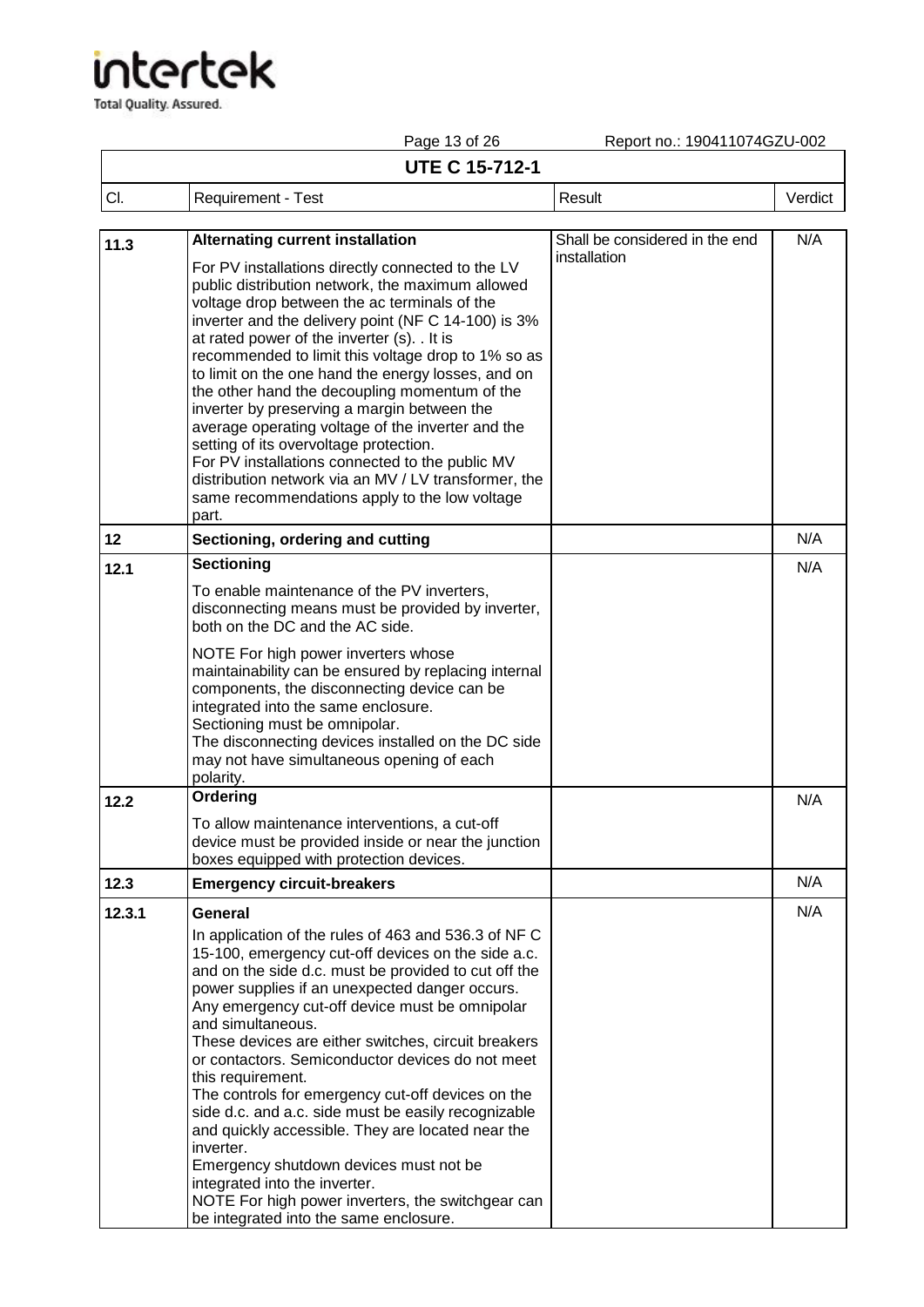## tertek

**Total Quality. Assured.** 

Page 13 of 26 Report no.: 190411074GZU-002 **UTE C 15-712-1** Cl. Requirement - Test Result Result Result Result Result Result Result Result Result Result Result Result Result Result Result Result Result Result Result Result Result Result Result Result Result Result Result Result Res **11.3 Alternating current installation** For PV installations directly connected to the LV public distribution network, the maximum allowed voltage drop between the ac terminals of the inverter and the delivery point (NF C 14-100) is 3% at rated power of the inverter (s). . It is recommended to limit this voltage drop to 1% so as to limit on the one hand the energy losses, and on the other hand the decoupling momentum of the inverter by preserving a margin between the average operating voltage of the inverter and the setting of its overvoltage protection. For PV installations connected to the public MV distribution network via an MV / LV transformer, the same recommendations apply to the low voltage part. Shall be considered in the end installation N/A **12 Sectioning, ordering and cutting N/A 12.1 Sectioning**  To enable maintenance of the PV inverters, disconnecting means must be provided by inverter, both on the DC and the AC side. NOTE For high power inverters whose maintainability can be ensured by replacing internal components, the disconnecting device can be integrated into the same enclosure. Sectioning must be omnipolar. The disconnecting devices installed on the DC side may not have simultaneous opening of each polarity. N/A **12.2 Ordering**  To allow maintenance interventions, a cut-off device must be provided inside or near the junction boxes equipped with protection devices. N/A **12.3 Emergency circuit-breakers N/A Emergency circuit-breakers** N/A **12.3.1 General**  In application of the rules of 463 and 536.3 of NF C 15-100, emergency cut-off devices on the side a.c. and on the side d.c. must be provided to cut off the power supplies if an unexpected danger occurs. Any emergency cut-off device must be omnipolar and simultaneous. These devices are either switches, circuit breakers or contactors. Semiconductor devices do not meet this requirement. The controls for emergency cut-off devices on the side d.c. and a.c. side must be easily recognizable and quickly accessible. They are located near the inverter. Emergency shutdown devices must not be integrated into the inverter. NOTE For high power inverters, the switchgear can N/A

be integrated into the same enclosure.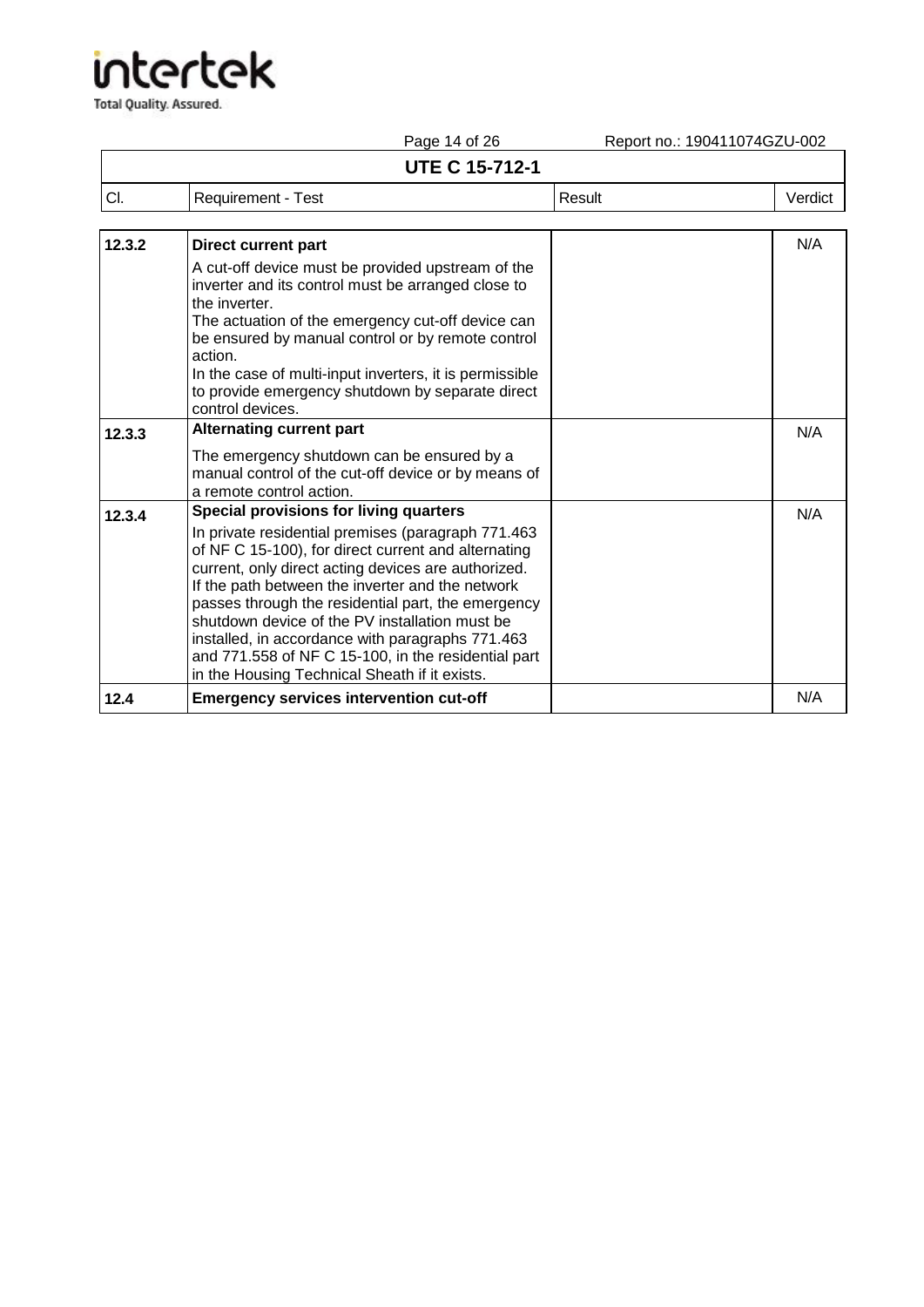Total Quality. Assured.

Page 14 of 26 Report no.: 190411074GZU-002

### **UTE C 15-712-1**

| .<br><b>UTE C 15-712-1</b> |                    |        |         |
|----------------------------|--------------------|--------|---------|
| CI.                        | Requirement - Test | Result | Verdict |

| 12.3.2 | <b>Direct current part</b>                                                                                                                                                                                                                                                                                                                                                                                                                                                                                                                | N/A |
|--------|-------------------------------------------------------------------------------------------------------------------------------------------------------------------------------------------------------------------------------------------------------------------------------------------------------------------------------------------------------------------------------------------------------------------------------------------------------------------------------------------------------------------------------------------|-----|
|        | A cut-off device must be provided upstream of the<br>inverter and its control must be arranged close to<br>the inverter.<br>The actuation of the emergency cut-off device can<br>be ensured by manual control or by remote control<br>action.<br>In the case of multi-input inverters, it is permissible<br>to provide emergency shutdown by separate direct                                                                                                                                                                              |     |
|        | control devices.<br><b>Alternating current part</b>                                                                                                                                                                                                                                                                                                                                                                                                                                                                                       |     |
| 12.3.3 | The emergency shutdown can be ensured by a<br>manual control of the cut-off device or by means of<br>a remote control action.                                                                                                                                                                                                                                                                                                                                                                                                             | N/A |
| 12.3.4 | <b>Special provisions for living quarters</b><br>In private residential premises (paragraph 771.463<br>of NF C 15-100), for direct current and alternating<br>current, only direct acting devices are authorized.<br>If the path between the inverter and the network<br>passes through the residential part, the emergency<br>shutdown device of the PV installation must be<br>installed, in accordance with paragraphs 771.463<br>and 771.558 of NF C 15-100, in the residential part<br>in the Housing Technical Sheath if it exists. | N/A |
| 12.4   | <b>Emergency services intervention cut-off</b>                                                                                                                                                                                                                                                                                                                                                                                                                                                                                            | N/A |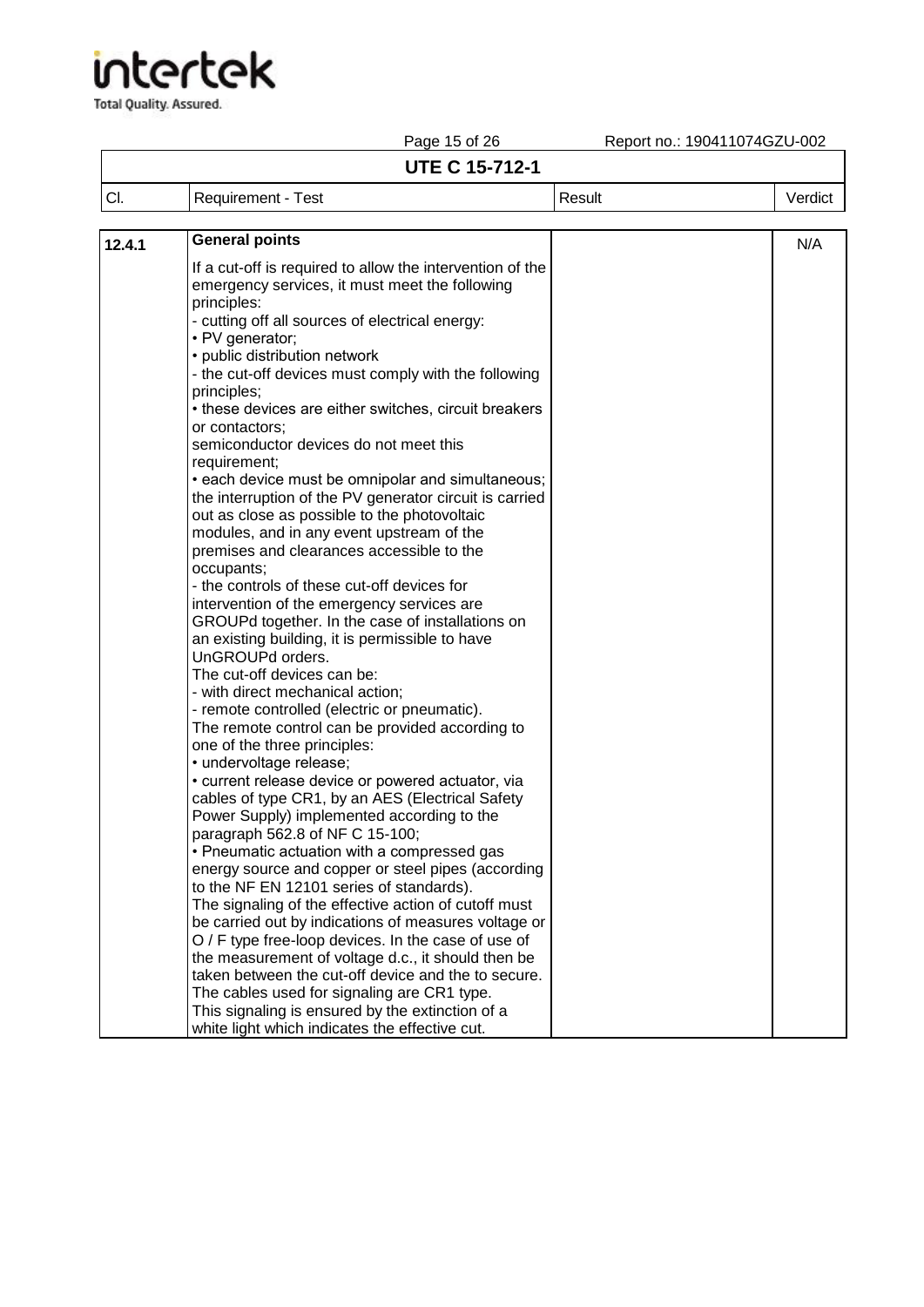Total Quality. Assured.

Report no.: 190411074GZU-002

## Page 15 of 26<br>**UTE C 15-712-1**

| <b>UTE C 15-712-1</b> |                    |        |         |  |
|-----------------------|--------------------|--------|---------|--|
| CI.                   | Requirement - Test | Result | Verdict |  |
|                       |                    |        |         |  |

| 12.4.1 | <b>General points</b>                                                                           | N/A |
|--------|-------------------------------------------------------------------------------------------------|-----|
|        | If a cut-off is required to allow the intervention of the                                       |     |
|        | emergency services, it must meet the following                                                  |     |
|        | principles:                                                                                     |     |
|        | - cutting off all sources of electrical energy:                                                 |     |
|        | • PV generator;                                                                                 |     |
|        | • public distribution network                                                                   |     |
|        | - the cut-off devices must comply with the following                                            |     |
|        | principles;                                                                                     |     |
|        | • these devices are either switches, circuit breakers                                           |     |
|        | or contactors:                                                                                  |     |
|        | semiconductor devices do not meet this                                                          |     |
|        | requirement:                                                                                    |     |
|        | . each device must be omnipolar and simultaneous;                                               |     |
|        | the interruption of the PV generator circuit is carried                                         |     |
|        | out as close as possible to the photovoltaic                                                    |     |
|        | modules, and in any event upstream of the                                                       |     |
|        | premises and clearances accessible to the                                                       |     |
|        | occupants;<br>- the controls of these cut-off devices for                                       |     |
|        | intervention of the emergency services are                                                      |     |
|        | GROUPd together. In the case of installations on                                                |     |
|        | an existing building, it is permissible to have                                                 |     |
|        | UnGROUPd orders.                                                                                |     |
|        | The cut-off devices can be:                                                                     |     |
|        | - with direct mechanical action;                                                                |     |
|        | - remote controlled (electric or pneumatic).                                                    |     |
|        | The remote control can be provided according to                                                 |     |
|        | one of the three principles:                                                                    |     |
|        | · undervoltage release;                                                                         |     |
|        | • current release device or powered actuator, via                                               |     |
|        | cables of type CR1, by an AES (Electrical Safety                                                |     |
|        | Power Supply) implemented according to the                                                      |     |
|        | paragraph 562.8 of NF C 15-100;                                                                 |     |
|        | • Pneumatic actuation with a compressed gas                                                     |     |
|        | energy source and copper or steel pipes (according                                              |     |
|        | to the NF EN 12101 series of standards).                                                        |     |
|        | The signaling of the effective action of cutoff must                                            |     |
|        | be carried out by indications of measures voltage or                                            |     |
|        | O / F type free-loop devices. In the case of use of                                             |     |
|        | the measurement of voltage d.c., it should then be                                              |     |
|        | taken between the cut-off device and the to secure.                                             |     |
|        | The cables used for signaling are CR1 type.<br>This signaling is ensured by the extinction of a |     |
|        | white light which indicates the effective cut.                                                  |     |
|        |                                                                                                 |     |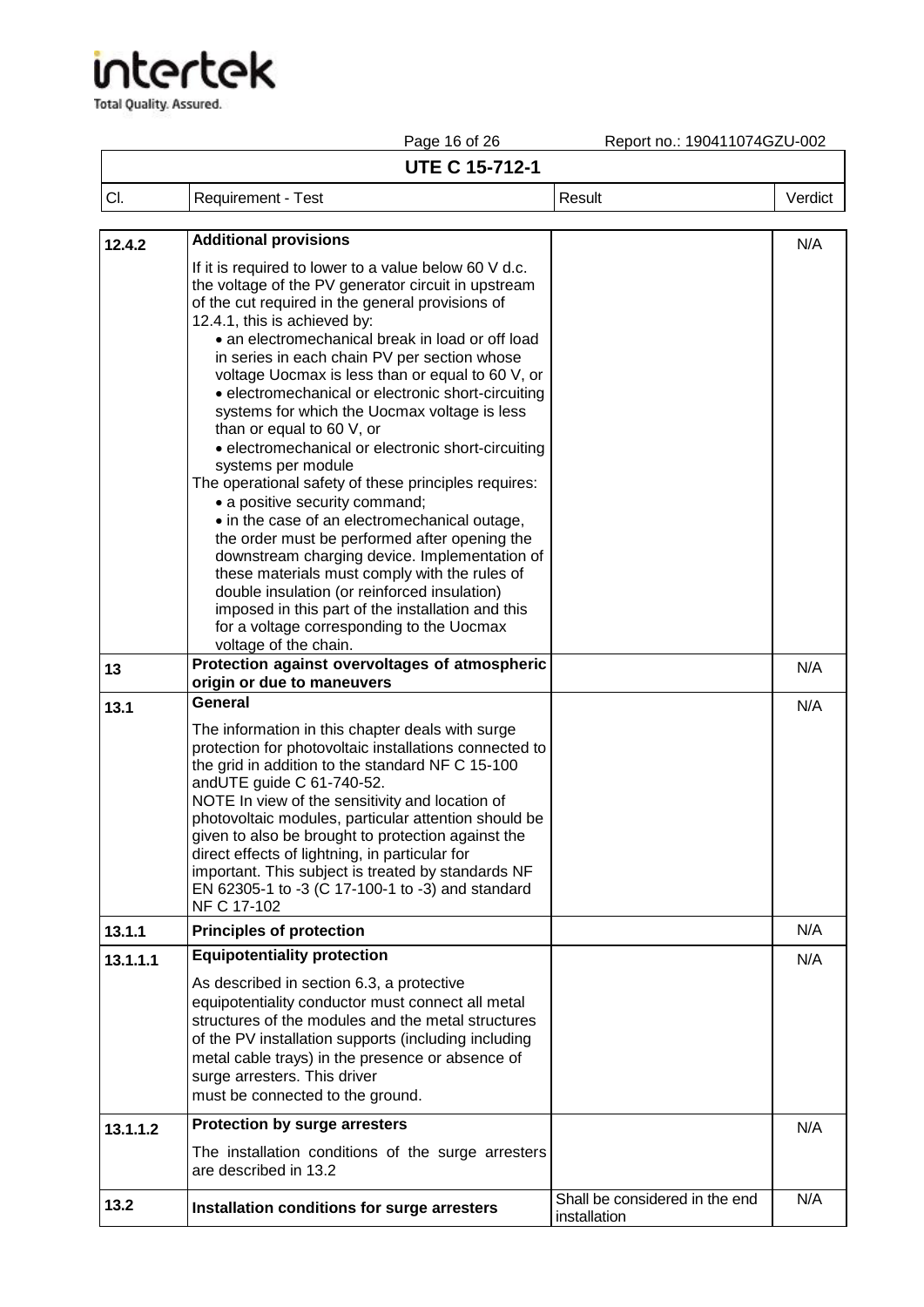## tertek

**Total Quality. Assured.** 

Page 16 of 26 Report no.: 190411074GZU-002 **UTE C 15-712-1** Cl. Requirement - Test Result Result Result Result Result Result Result Result Result Result Result Result Result Result Result Result Result Result Result Result Result Result Result Result Result Result Result Result Res **12.4.2 Additional provisions** If it is required to lower to a value below 60 V d.c. the voltage of the PV generator circuit in upstream of the cut required in the general provisions of 12.4.1, this is achieved by: • an electromechanical break in load or off load in series in each chain PV per section whose voltage Uocmax is less than or equal to 60 V, or • electromechanical or electronic short-circuiting systems for which the Uocmax voltage is less than or equal to 60 V, or • electromechanical or electronic short-circuiting systems per module The operational safety of these principles requires: • a positive security command; • in the case of an electromechanical outage, the order must be performed after opening the downstream charging device. Implementation of these materials must comply with the rules of double insulation (or reinforced insulation) imposed in this part of the installation and this for a voltage corresponding to the Uocmax voltage of the chain. N/A **13 Protection against overvoltages of atmospheric origin or due to maneuvers** N/A **13.1 General**  The information in this chapter deals with surge protection for photovoltaic installations connected to the grid in addition to the standard NF C 15-100 andUTE guide C 61-740-52. NOTE In view of the sensitivity and location of photovoltaic modules, particular attention should be given to also be brought to protection against the direct effects of lightning, in particular for important. This subject is treated by standards NF EN 62305-1 to -3 (C 17-100-1 to -3) and standard NF C 17-102 N/A **13.1.1 Principles of protection** N/A **13.1.1.1 Equipotentiality protection**  As described in section 6.3, a protective equipotentiality conductor must connect all metal structures of the modules and the metal structures of the PV installation supports (including including metal cable trays) in the presence or absence of surge arresters. This driver must be connected to the ground. N/A **13.1.1.2 Protection by surge arresters** The installation conditions of the surge arresters are described in 13.2 N/A **13.2 Installation conditions for surge arresters** Shall be considered in the end N/A

installation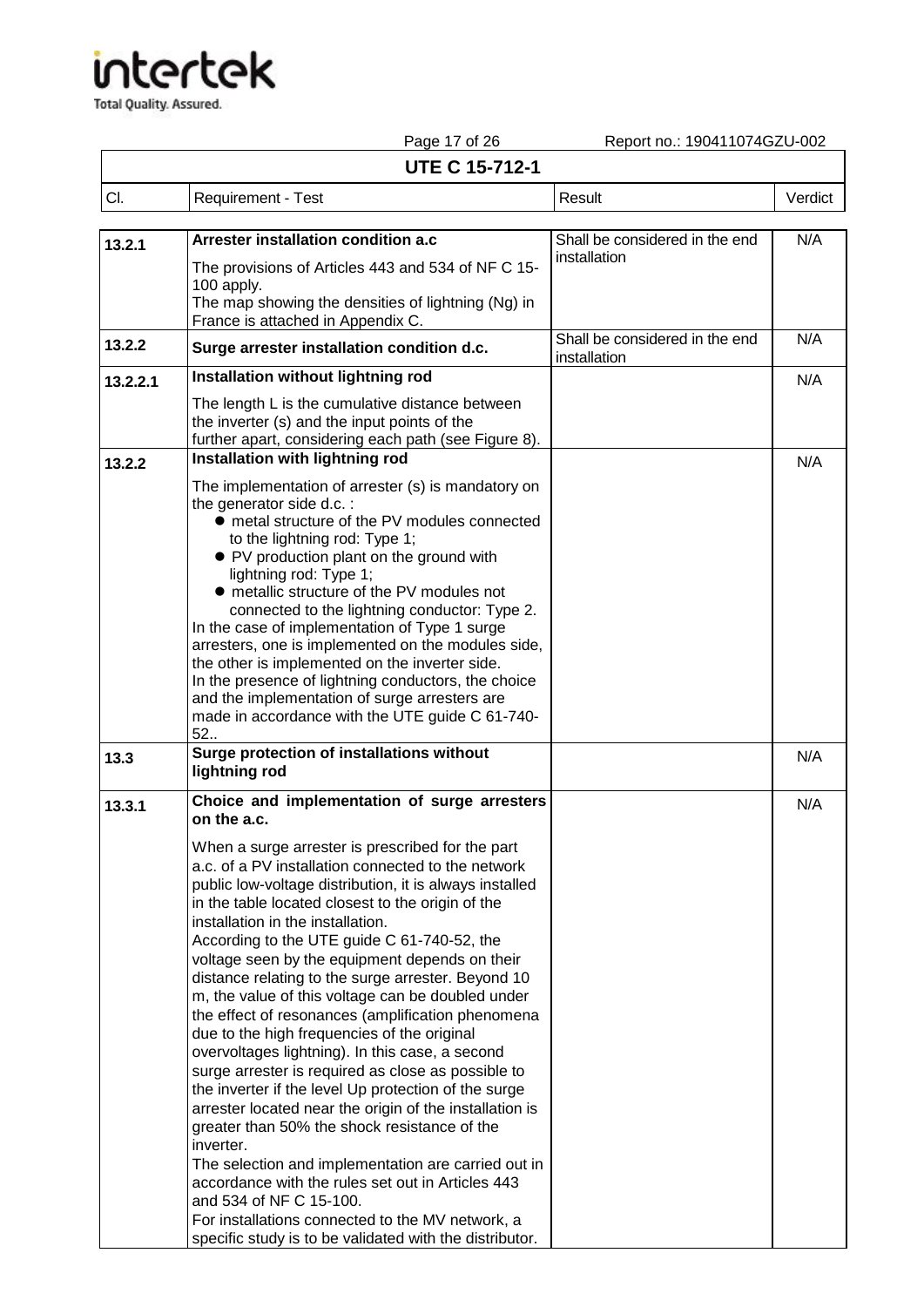Total Quality. Assured.

Page 17 of 26 Report no.: 190411074GZU-002

### **UTE C 15-712-1**

| <b>UTE C 15-712-1</b> |                                                                                                                                                               |                                                |         |  |
|-----------------------|---------------------------------------------------------------------------------------------------------------------------------------------------------------|------------------------------------------------|---------|--|
| CI.                   | Requirement - Test                                                                                                                                            | Result                                         | Verdict |  |
| 13.2.1                | Arrester installation condition a.c<br>The provisions of Articles 443 and 534 of NF C 15-<br>100 apply.<br>The map showing the densities of lightning (Ng) in | Shall be considered in the end<br>installation | N/A     |  |

|          | The map showing the densities of lightning (tyg) in<br>France is attached in Appendix C.                                                                                                                                                                                                                                                                                                                                                                                                                                                                                                                                                                                                                                                                                                                                                                                                                                                                                                                                                                                                                                   |                                                |     |
|----------|----------------------------------------------------------------------------------------------------------------------------------------------------------------------------------------------------------------------------------------------------------------------------------------------------------------------------------------------------------------------------------------------------------------------------------------------------------------------------------------------------------------------------------------------------------------------------------------------------------------------------------------------------------------------------------------------------------------------------------------------------------------------------------------------------------------------------------------------------------------------------------------------------------------------------------------------------------------------------------------------------------------------------------------------------------------------------------------------------------------------------|------------------------------------------------|-----|
| 13.2.2   | Surge arrester installation condition d.c.                                                                                                                                                                                                                                                                                                                                                                                                                                                                                                                                                                                                                                                                                                                                                                                                                                                                                                                                                                                                                                                                                 | Shall be considered in the end<br>installation | N/A |
| 13.2.2.1 | Installation without lightning rod                                                                                                                                                                                                                                                                                                                                                                                                                                                                                                                                                                                                                                                                                                                                                                                                                                                                                                                                                                                                                                                                                         |                                                | N/A |
|          | The length L is the cumulative distance between<br>the inverter (s) and the input points of the<br>further apart, considering each path (see Figure 8).                                                                                                                                                                                                                                                                                                                                                                                                                                                                                                                                                                                                                                                                                                                                                                                                                                                                                                                                                                    |                                                |     |
| 13.2.2   | Installation with lightning rod                                                                                                                                                                                                                                                                                                                                                                                                                                                                                                                                                                                                                                                                                                                                                                                                                                                                                                                                                                                                                                                                                            |                                                | N/A |
|          | The implementation of arrester (s) is mandatory on<br>the generator side d.c. :<br>• metal structure of the PV modules connected<br>to the lightning rod: Type 1;<br>• PV production plant on the ground with<br>lightning rod: Type 1;<br>• metallic structure of the PV modules not<br>connected to the lightning conductor: Type 2.<br>In the case of implementation of Type 1 surge<br>arresters, one is implemented on the modules side,<br>the other is implemented on the inverter side.<br>In the presence of lightning conductors, the choice<br>and the implementation of surge arresters are<br>made in accordance with the UTE guide C 61-740-<br>52.                                                                                                                                                                                                                                                                                                                                                                                                                                                          |                                                |     |
| 13.3     | Surge protection of installations without<br>lightning rod                                                                                                                                                                                                                                                                                                                                                                                                                                                                                                                                                                                                                                                                                                                                                                                                                                                                                                                                                                                                                                                                 |                                                | N/A |
| 13.3.1   | Choice and implementation of surge arresters<br>on the a.c.                                                                                                                                                                                                                                                                                                                                                                                                                                                                                                                                                                                                                                                                                                                                                                                                                                                                                                                                                                                                                                                                |                                                | N/A |
|          | When a surge arrester is prescribed for the part<br>a.c. of a PV installation connected to the network<br>public low-voltage distribution, it is always installed<br>in the table located closest to the origin of the<br>installation in the installation.<br>According to the UTE guide C 61-740-52, the<br>voltage seen by the equipment depends on their<br>distance relating to the surge arrester. Beyond 10<br>m, the value of this voltage can be doubled under<br>the effect of resonances (amplification phenomena<br>due to the high frequencies of the original<br>overvoltages lightning). In this case, a second<br>surge arrester is required as close as possible to<br>the inverter if the level Up protection of the surge<br>arrester located near the origin of the installation is<br>greater than 50% the shock resistance of the<br>inverter.<br>The selection and implementation are carried out in<br>accordance with the rules set out in Articles 443<br>and 534 of NF C 15-100.<br>For installations connected to the MV network, a<br>specific study is to be validated with the distributor. |                                                |     |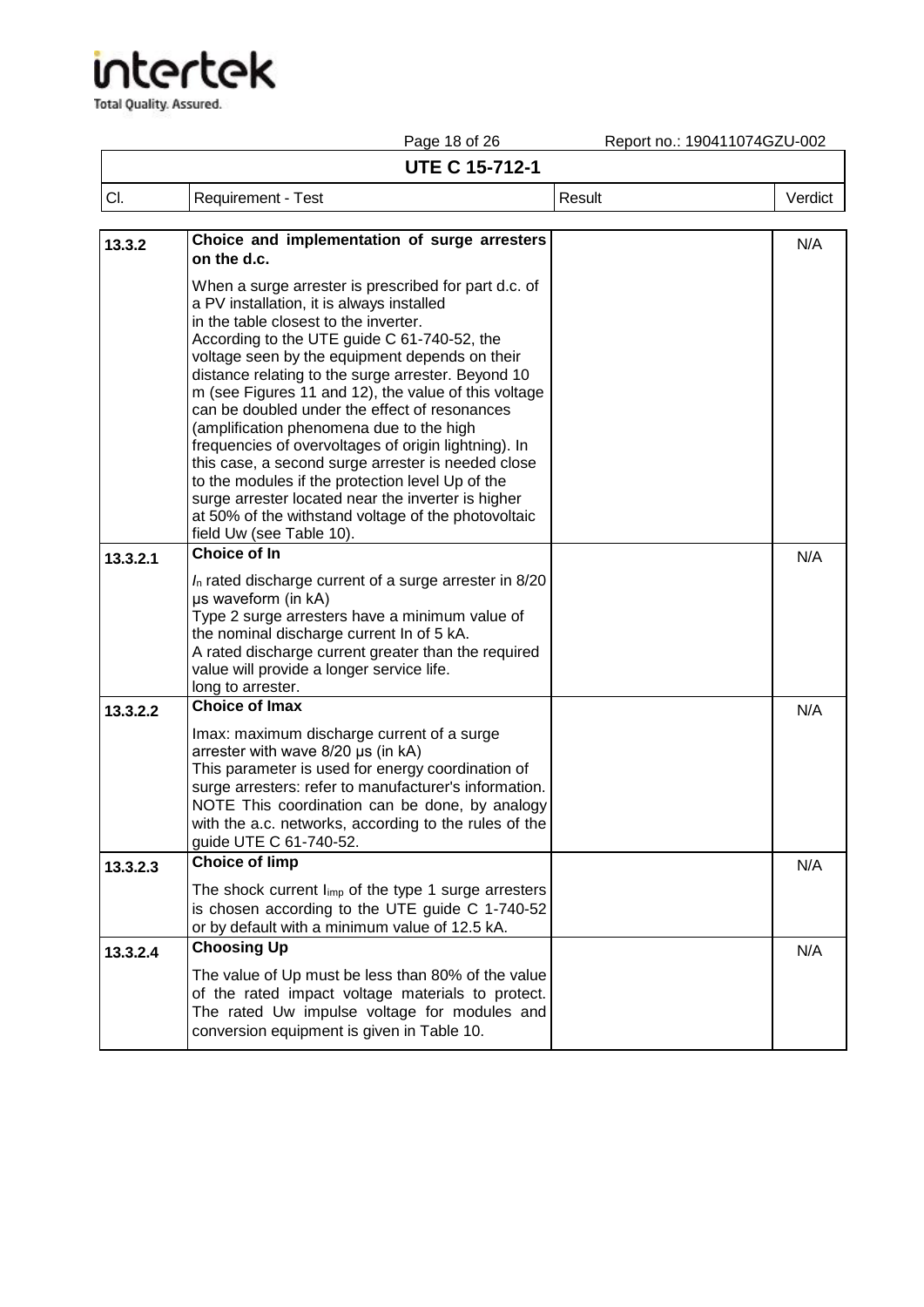|          | Page 18 of 26                                                                                                                                                                                                                                                                                                                                                                                                                                                                                                                                                                                                                                                                                                                                                     | Report no.: 190411074GZU-002 |         |
|----------|-------------------------------------------------------------------------------------------------------------------------------------------------------------------------------------------------------------------------------------------------------------------------------------------------------------------------------------------------------------------------------------------------------------------------------------------------------------------------------------------------------------------------------------------------------------------------------------------------------------------------------------------------------------------------------------------------------------------------------------------------------------------|------------------------------|---------|
|          | <b>UTE C 15-712-1</b>                                                                                                                                                                                                                                                                                                                                                                                                                                                                                                                                                                                                                                                                                                                                             |                              |         |
| CI.      | <b>Requirement - Test</b>                                                                                                                                                                                                                                                                                                                                                                                                                                                                                                                                                                                                                                                                                                                                         | Result                       | Verdict |
| 13.3.2   | Choice and implementation of surge arresters<br>on the d.c.                                                                                                                                                                                                                                                                                                                                                                                                                                                                                                                                                                                                                                                                                                       |                              | N/A     |
|          | When a surge arrester is prescribed for part d.c. of<br>a PV installation, it is always installed<br>in the table closest to the inverter.<br>According to the UTE guide C 61-740-52, the<br>voltage seen by the equipment depends on their<br>distance relating to the surge arrester. Beyond 10<br>m (see Figures 11 and 12), the value of this voltage<br>can be doubled under the effect of resonances<br>(amplification phenomena due to the high<br>frequencies of overvoltages of origin lightning). In<br>this case, a second surge arrester is needed close<br>to the modules if the protection level Up of the<br>surge arrester located near the inverter is higher<br>at 50% of the withstand voltage of the photovoltaic<br>field Uw (see Table 10). |                              |         |
| 13.3.2.1 | <b>Choice of In</b>                                                                                                                                                                                                                                                                                                                                                                                                                                                                                                                                                                                                                                                                                                                                               |                              | N/A     |
|          | $I_n$ rated discharge current of a surge arrester in 8/20<br>µs waveform (in kA)<br>Type 2 surge arresters have a minimum value of<br>the nominal discharge current In of 5 kA.<br>A rated discharge current greater than the required<br>value will provide a longer service life.<br>long to arrester.                                                                                                                                                                                                                                                                                                                                                                                                                                                          |                              |         |
| 13.3.2.2 | <b>Choice of Imax</b>                                                                                                                                                                                                                                                                                                                                                                                                                                                                                                                                                                                                                                                                                                                                             |                              | N/A     |
|          | Imax: maximum discharge current of a surge<br>arrester with wave 8/20 µs (in kA)<br>This parameter is used for energy coordination of<br>surge arresters: refer to manufacturer's information.<br>NOTE This coordination can be done, by analogy<br>with the a.c. networks, according to the rules of the<br>guide UTE C 61-740-52.                                                                                                                                                                                                                                                                                                                                                                                                                               |                              |         |
| 13.3.2.3 | <b>Choice of limp</b>                                                                                                                                                                                                                                                                                                                                                                                                                                                                                                                                                                                                                                                                                                                                             |                              | N/A     |
|          | The shock current $I_{imp}$ of the type 1 surge arresters<br>is chosen according to the UTE guide C 1-740-52<br>or by default with a minimum value of 12.5 kA.                                                                                                                                                                                                                                                                                                                                                                                                                                                                                                                                                                                                    |                              |         |
| 13.3.2.4 | <b>Choosing Up</b>                                                                                                                                                                                                                                                                                                                                                                                                                                                                                                                                                                                                                                                                                                                                                |                              | N/A     |
|          | The value of Up must be less than 80% of the value<br>of the rated impact voltage materials to protect.<br>The rated Uw impulse voltage for modules and<br>conversion equipment is given in Table 10.                                                                                                                                                                                                                                                                                                                                                                                                                                                                                                                                                             |                              |         |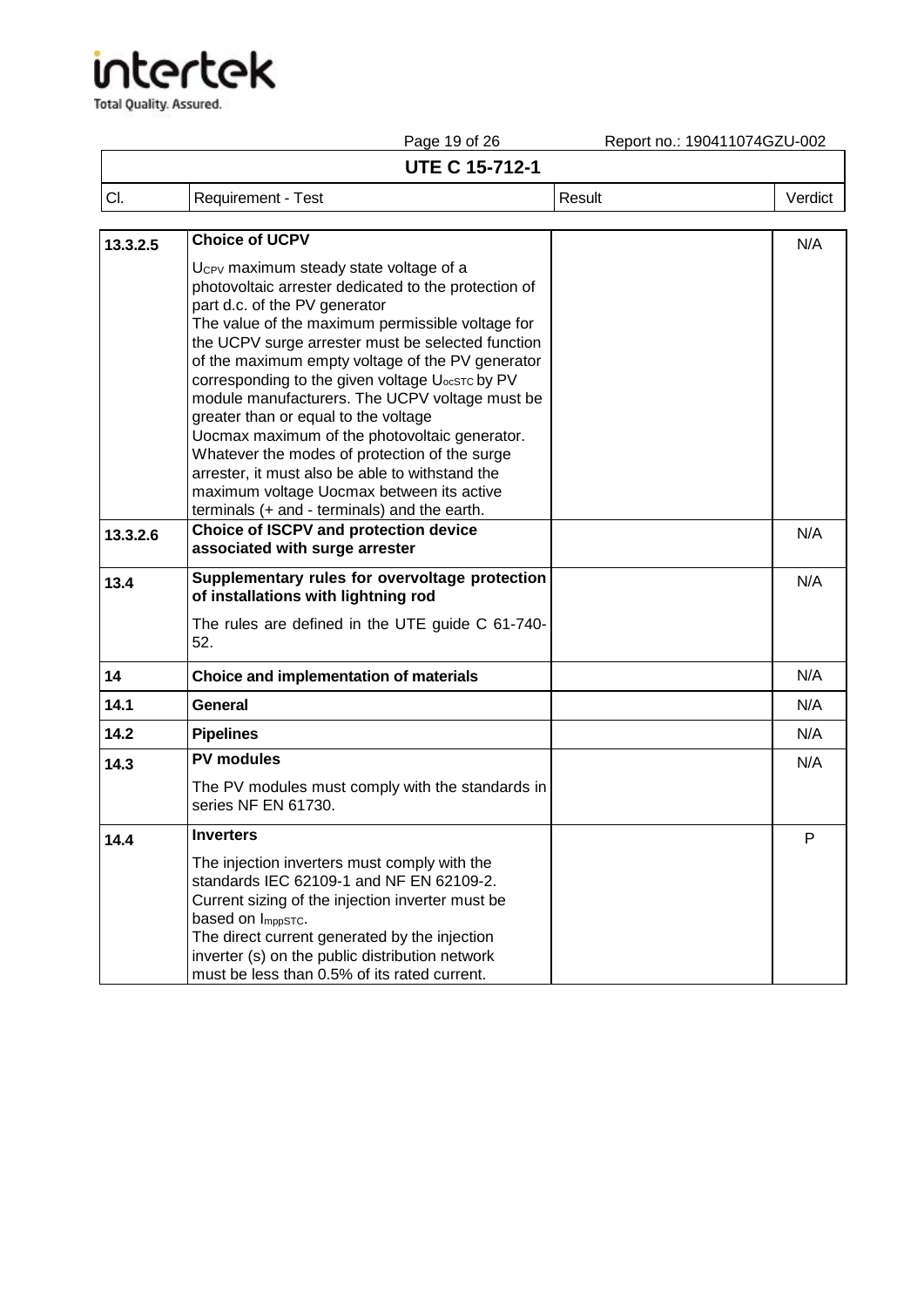|          | Page 19 of 26                                                                                                                                                                                                                                                                                                                                                                                                                                                                                                                                                                                                                                                                                           | Report no.: 190411074GZU-002 |         |
|----------|---------------------------------------------------------------------------------------------------------------------------------------------------------------------------------------------------------------------------------------------------------------------------------------------------------------------------------------------------------------------------------------------------------------------------------------------------------------------------------------------------------------------------------------------------------------------------------------------------------------------------------------------------------------------------------------------------------|------------------------------|---------|
|          | <b>UTE C 15-712-1</b>                                                                                                                                                                                                                                                                                                                                                                                                                                                                                                                                                                                                                                                                                   |                              |         |
| CI.      | Requirement - Test                                                                                                                                                                                                                                                                                                                                                                                                                                                                                                                                                                                                                                                                                      | Result                       | Verdict |
| 13.3.2.5 | <b>Choice of UCPV</b>                                                                                                                                                                                                                                                                                                                                                                                                                                                                                                                                                                                                                                                                                   |                              | N/A     |
|          | Ucpy maximum steady state voltage of a<br>photovoltaic arrester dedicated to the protection of<br>part d.c. of the PV generator<br>The value of the maximum permissible voltage for<br>the UCPV surge arrester must be selected function<br>of the maximum empty voltage of the PV generator<br>corresponding to the given voltage U <sub>ocSTC</sub> by PV<br>module manufacturers. The UCPV voltage must be<br>greater than or equal to the voltage<br>Uocmax maximum of the photovoltaic generator.<br>Whatever the modes of protection of the surge<br>arrester, it must also be able to withstand the<br>maximum voltage Uocmax between its active<br>terminals (+ and - terminals) and the earth. |                              |         |
| 13.3.2.6 | Choice of ISCPV and protection device<br>associated with surge arrester                                                                                                                                                                                                                                                                                                                                                                                                                                                                                                                                                                                                                                 |                              | N/A     |
| 13.4     | Supplementary rules for overvoltage protection<br>of installations with lightning rod<br>The rules are defined in the UTE guide C 61-740-<br>52.                                                                                                                                                                                                                                                                                                                                                                                                                                                                                                                                                        |                              | N/A     |
| 14       | Choice and implementation of materials                                                                                                                                                                                                                                                                                                                                                                                                                                                                                                                                                                                                                                                                  |                              | N/A     |
| 14.1     | General                                                                                                                                                                                                                                                                                                                                                                                                                                                                                                                                                                                                                                                                                                 |                              | N/A     |
| 14.2     | <b>Pipelines</b>                                                                                                                                                                                                                                                                                                                                                                                                                                                                                                                                                                                                                                                                                        |                              | N/A     |
| 14.3     | <b>PV modules</b><br>The PV modules must comply with the standards in<br>series NF EN 61730.                                                                                                                                                                                                                                                                                                                                                                                                                                                                                                                                                                                                            |                              | N/A     |
| 14.4     | <b>Inverters</b><br>The injection inverters must comply with the<br>standards IEC 62109-1 and NF EN 62109-2.<br>Current sizing of the injection inverter must be<br>based on ImppSTC.<br>The direct current generated by the injection<br>inverter (s) on the public distribution network<br>must be less than 0.5% of its rated current.                                                                                                                                                                                                                                                                                                                                                               |                              | P       |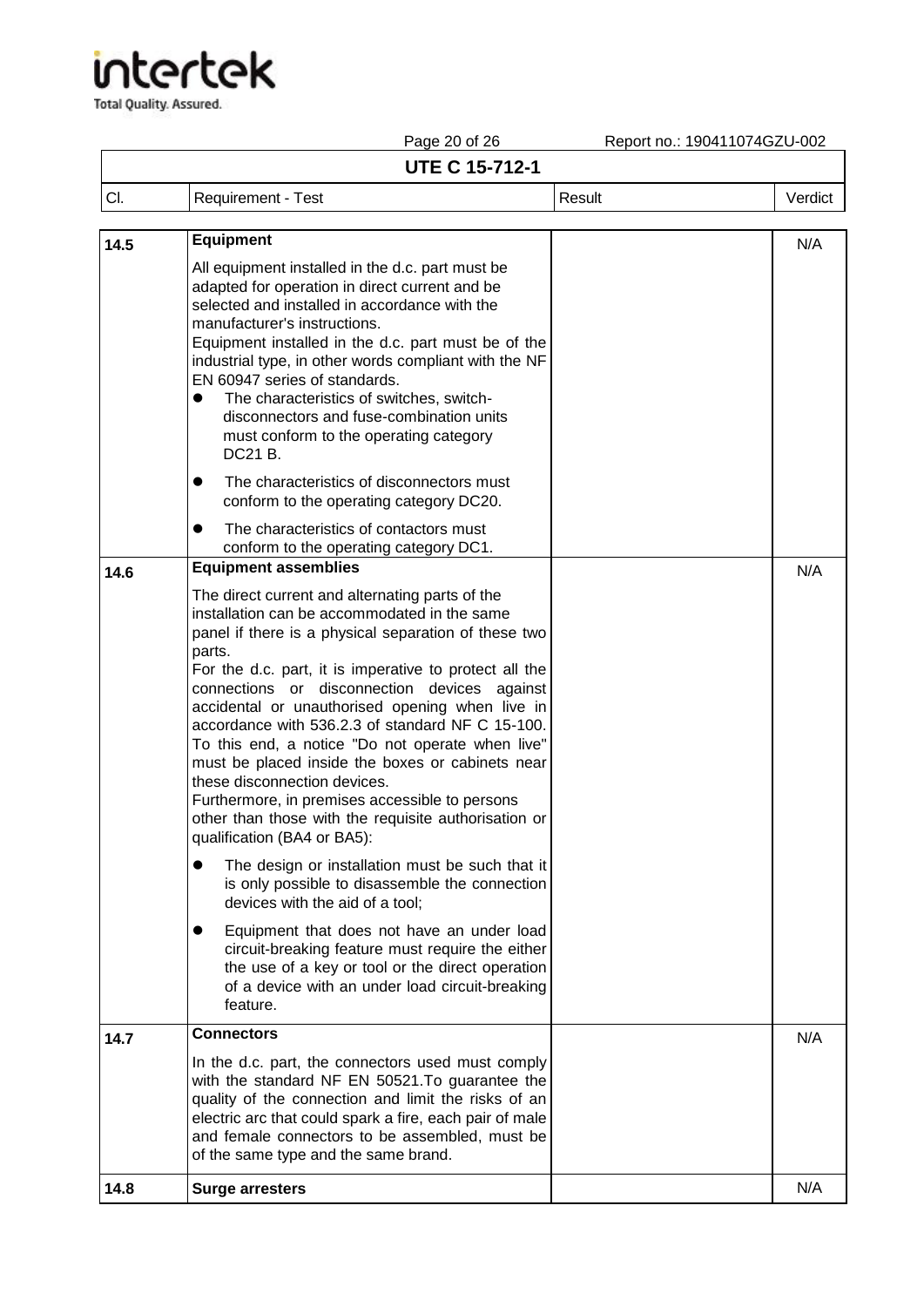Total Quality. Assured.

Page 20 of 26 Report no.: 190411074GZU-002

### **UTE C 15-712-1**

| <b>UTE C 15-712-1</b> |                    |        |         |
|-----------------------|--------------------|--------|---------|
| CI.                   | Requirement - Test | Result | Verdict |
|                       |                    |        |         |

| 14.5 | <b>Equipment</b>                                                                                                                                                                                                                                                                                                                                                                                                                                                                                                                                                                                                                                                    | N/A |
|------|---------------------------------------------------------------------------------------------------------------------------------------------------------------------------------------------------------------------------------------------------------------------------------------------------------------------------------------------------------------------------------------------------------------------------------------------------------------------------------------------------------------------------------------------------------------------------------------------------------------------------------------------------------------------|-----|
|      | All equipment installed in the d.c. part must be<br>adapted for operation in direct current and be<br>selected and installed in accordance with the<br>manufacturer's instructions.<br>Equipment installed in the d.c. part must be of the<br>industrial type, in other words compliant with the NF<br>EN 60947 series of standards.<br>The characteristics of switches, switch-<br>$\bullet$<br>disconnectors and fuse-combination units<br>must conform to the operating category<br>DC21 B.<br>The characteristics of disconnectors must<br>$\bullet$<br>conform to the operating category DC20.                                                                 |     |
|      | The characteristics of contactors must<br>conform to the operating category DC1.                                                                                                                                                                                                                                                                                                                                                                                                                                                                                                                                                                                    |     |
| 14.6 | <b>Equipment assemblies</b>                                                                                                                                                                                                                                                                                                                                                                                                                                                                                                                                                                                                                                         | N/A |
|      | The direct current and alternating parts of the<br>installation can be accommodated in the same<br>panel if there is a physical separation of these two<br>parts.<br>For the d.c. part, it is imperative to protect all the<br>connections or disconnection devices against<br>accidental or unauthorised opening when live in<br>accordance with 536.2.3 of standard NF C 15-100.<br>To this end, a notice "Do not operate when live"<br>must be placed inside the boxes or cabinets near<br>these disconnection devices.<br>Furthermore, in premises accessible to persons<br>other than those with the requisite authorisation or<br>qualification (BA4 or BA5): |     |
|      | The design or installation must be such that it<br>is only possible to disassemble the connection<br>devices with the aid of a tool;                                                                                                                                                                                                                                                                                                                                                                                                                                                                                                                                |     |
|      | Equipment that does not have an under load<br>circuit-breaking feature must require the either<br>the use of a key or tool or the direct operation<br>of a device with an under load circuit-breaking<br>feature.                                                                                                                                                                                                                                                                                                                                                                                                                                                   |     |
| 14.7 | <b>Connectors</b>                                                                                                                                                                                                                                                                                                                                                                                                                                                                                                                                                                                                                                                   | N/A |
|      | In the d.c. part, the connectors used must comply<br>with the standard NF EN 50521. To guarantee the<br>quality of the connection and limit the risks of an<br>electric arc that could spark a fire, each pair of male<br>and female connectors to be assembled, must be<br>of the same type and the same brand.                                                                                                                                                                                                                                                                                                                                                    |     |
| 14.8 | <b>Surge arresters</b>                                                                                                                                                                                                                                                                                                                                                                                                                                                                                                                                                                                                                                              | N/A |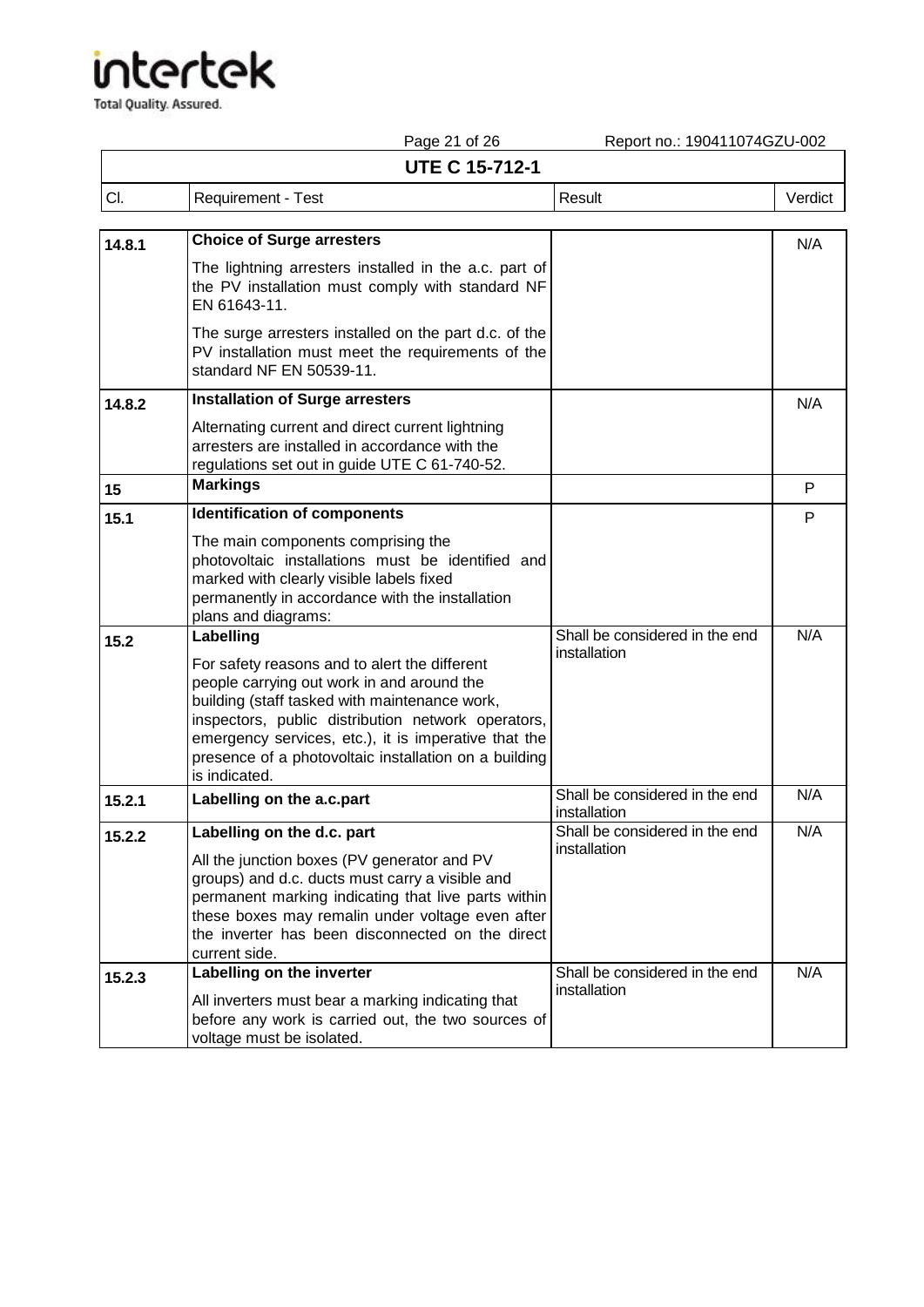|        | Page 21 of 26                                                                                                                                                                                                                                                                                                                        | Report no.: 190411074GZU-002                   |         |
|--------|--------------------------------------------------------------------------------------------------------------------------------------------------------------------------------------------------------------------------------------------------------------------------------------------------------------------------------------|------------------------------------------------|---------|
|        | <b>UTE C 15-712-1</b>                                                                                                                                                                                                                                                                                                                |                                                |         |
| CI.    | Requirement - Test                                                                                                                                                                                                                                                                                                                   | Result                                         | Verdict |
| 14.8.1 | <b>Choice of Surge arresters</b>                                                                                                                                                                                                                                                                                                     |                                                | N/A     |
|        | The lightning arresters installed in the a.c. part of<br>the PV installation must comply with standard NF<br>EN 61643-11.                                                                                                                                                                                                            |                                                |         |
|        | The surge arresters installed on the part d.c. of the<br>PV installation must meet the requirements of the<br>standard NF EN 50539-11.                                                                                                                                                                                               |                                                |         |
| 14.8.2 | <b>Installation of Surge arresters</b>                                                                                                                                                                                                                                                                                               |                                                | N/A     |
|        | Alternating current and direct current lightning<br>arresters are installed in accordance with the<br>regulations set out in guide UTE C 61-740-52.                                                                                                                                                                                  |                                                |         |
| 15     | <b>Markings</b>                                                                                                                                                                                                                                                                                                                      |                                                | P       |
| 15.1   | <b>Identification of components</b>                                                                                                                                                                                                                                                                                                  |                                                | P       |
|        | The main components comprising the<br>photovoltaic installations must be identified and<br>marked with clearly visible labels fixed<br>permanently in accordance with the installation<br>plans and diagrams:                                                                                                                        |                                                |         |
| 15.2   | Labelling                                                                                                                                                                                                                                                                                                                            | Shall be considered in the end<br>installation | N/A     |
|        | For safety reasons and to alert the different<br>people carrying out work in and around the<br>building (staff tasked with maintenance work,<br>inspectors, public distribution network operators,<br>emergency services, etc.), it is imperative that the<br>presence of a photovoltaic installation on a building<br>is indicated. |                                                |         |
| 15.2.1 | Labelling on the a.c.part                                                                                                                                                                                                                                                                                                            | Shall be considered in the end<br>installation | N/A     |
| 15.2.2 | Labelling on the d.c. part<br>All the junction boxes (PV generator and PV<br>groups) and d.c. ducts must carry a visible and<br>permanent marking indicating that live parts within<br>these boxes may remalin under voltage even after<br>the inverter has been disconnected on the direct<br>current side.                         | Shall be considered in the end<br>installation | N/A     |
| 15.2.3 | Labelling on the inverter<br>All inverters must bear a marking indicating that<br>before any work is carried out, the two sources of<br>voltage must be isolated.                                                                                                                                                                    | Shall be considered in the end<br>installation | N/A     |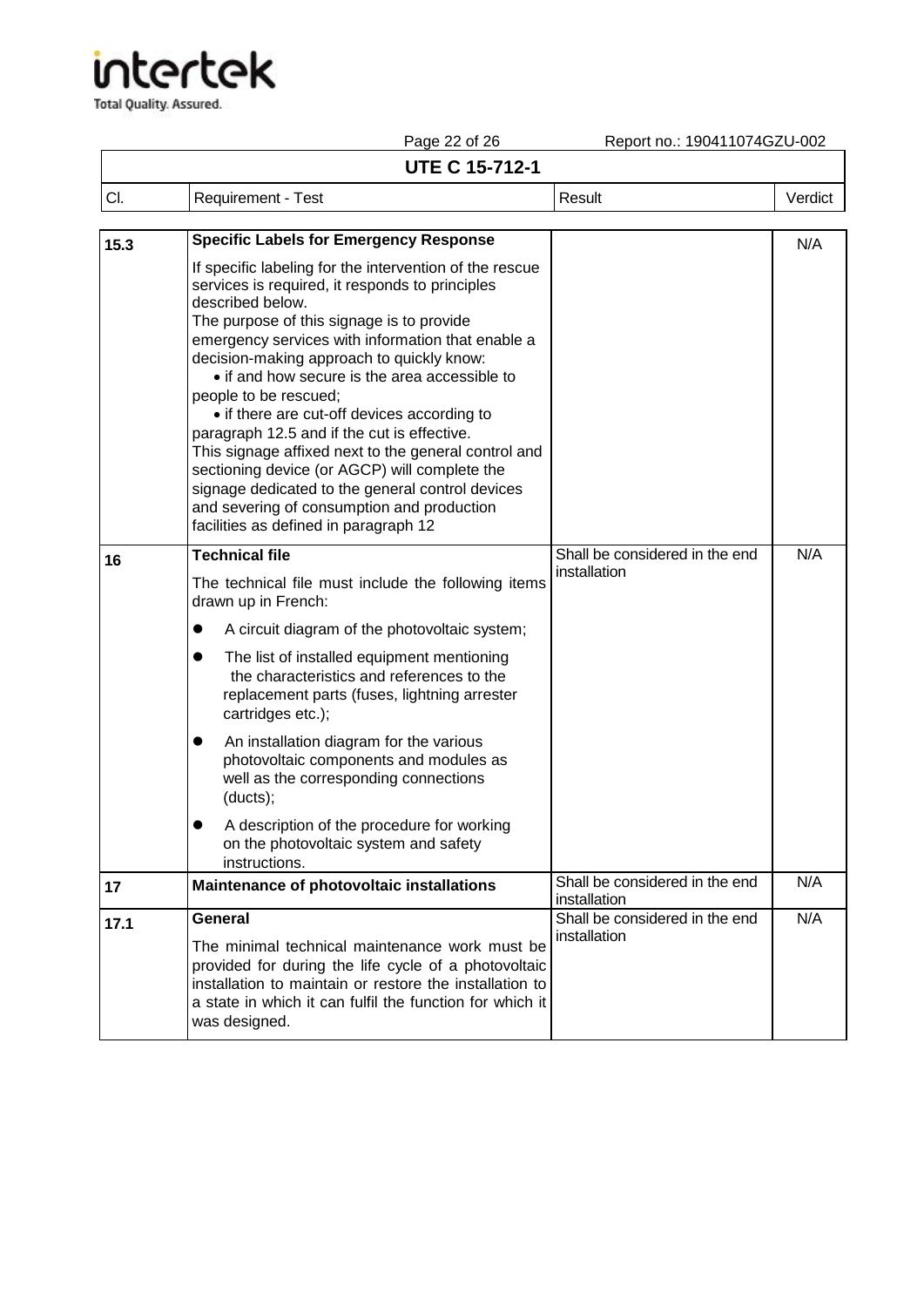|      | Page 22 of 26                                                                                                                                                                                                                                                                                                                                                                                                                                                                                                                                                                                                                                                                                                                                              | Report no.: 190411074GZU-002                   |         |  |  |
|------|------------------------------------------------------------------------------------------------------------------------------------------------------------------------------------------------------------------------------------------------------------------------------------------------------------------------------------------------------------------------------------------------------------------------------------------------------------------------------------------------------------------------------------------------------------------------------------------------------------------------------------------------------------------------------------------------------------------------------------------------------------|------------------------------------------------|---------|--|--|
|      | <b>UTE C 15-712-1</b>                                                                                                                                                                                                                                                                                                                                                                                                                                                                                                                                                                                                                                                                                                                                      |                                                |         |  |  |
| CI.  | Requirement - Test                                                                                                                                                                                                                                                                                                                                                                                                                                                                                                                                                                                                                                                                                                                                         | Result                                         | Verdict |  |  |
|      |                                                                                                                                                                                                                                                                                                                                                                                                                                                                                                                                                                                                                                                                                                                                                            |                                                |         |  |  |
| 15.3 | <b>Specific Labels for Emergency Response</b><br>If specific labeling for the intervention of the rescue<br>services is required, it responds to principles<br>described below.<br>The purpose of this signage is to provide<br>emergency services with information that enable a<br>decision-making approach to quickly know:<br>• if and how secure is the area accessible to<br>people to be rescued;<br>• if there are cut-off devices according to<br>paragraph 12.5 and if the cut is effective.<br>This signage affixed next to the general control and<br>sectioning device (or AGCP) will complete the<br>signage dedicated to the general control devices<br>and severing of consumption and production<br>facilities as defined in paragraph 12 |                                                | N/A     |  |  |
| 16   | <b>Technical file</b><br>The technical file must include the following items<br>drawn up in French:<br>A circuit diagram of the photovoltaic system;<br>The list of installed equipment mentioning<br>the characteristics and references to the<br>replacement parts (fuses, lightning arrester<br>cartridges etc.);<br>An installation diagram for the various<br>$\bullet$<br>photovoltaic components and modules as<br>well as the corresponding connections<br>(ducts);<br>A description of the procedure for working<br>on the photovoltaic system and safety<br>instructions.                                                                                                                                                                        | Shall be considered in the end<br>installation | N/A     |  |  |
| 17   | Maintenance of photovoltaic installations                                                                                                                                                                                                                                                                                                                                                                                                                                                                                                                                                                                                                                                                                                                  | Shall be considered in the end<br>installation | N/A     |  |  |
| 17.1 | General<br>The minimal technical maintenance work must be<br>provided for during the life cycle of a photovoltaic<br>installation to maintain or restore the installation to<br>a state in which it can fulfil the function for which it<br>was designed.                                                                                                                                                                                                                                                                                                                                                                                                                                                                                                  | Shall be considered in the end<br>installation | N/A     |  |  |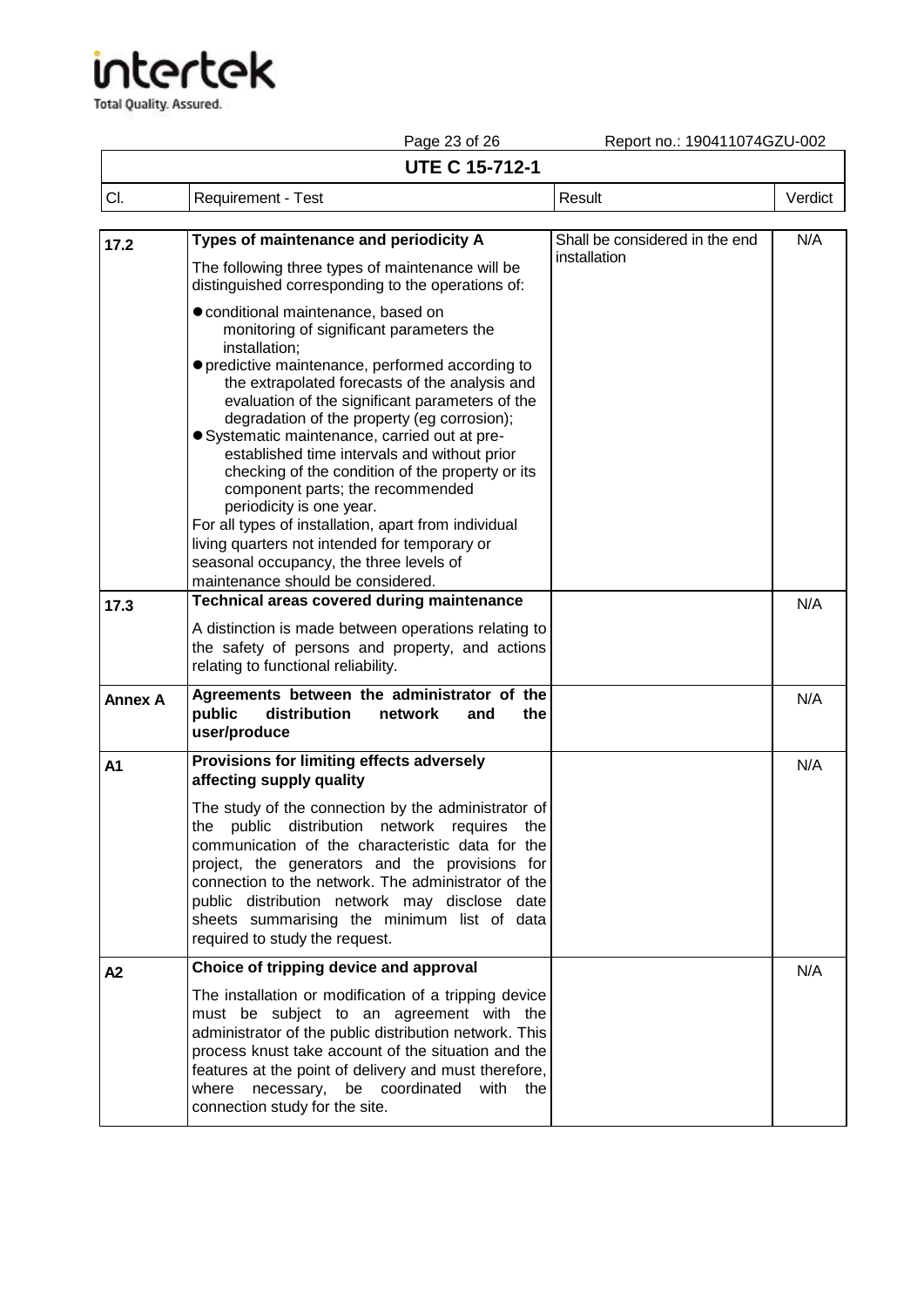# tertek

**Total Quality. Assured.** 

Page 23 of 26 Report no.: 190411074GZU-002 **UTE C 15-712-1** Cl. Requirement - Test Result Result Result Result Result Result Result Result Result Result Result Result Result Result Result Result Result Result Result Result Result Result Result Result Result Result Result Result Res **17.2 Types of maintenance and periodicity A**  The following three types of maintenance will be distinguished corresponding to the operations of: ⚫conditional maintenance, based on monitoring of significant parameters the installation; ⚫predictive maintenance, performed according to the extrapolated forecasts of the analysis and evaluation of the significant parameters of the degradation of the property (eg corrosion); ⚫Systematic maintenance, carried out at preestablished time intervals and without prior checking of the condition of the property or its component parts; the recommended periodicity is one year. For all types of installation, apart from individual living quarters not intended for temporary or seasonal occupancy, the three levels of maintenance should be considered. Shall be considered in the end installation N/A **17.3 Technical areas covered during maintenance** A distinction is made between operations relating to the safety of persons and property, and actions relating to functional reliability. N/A **Annex A Agreements between the administrator of the distribution user/produce** N/A **A1 Provisions for limiting effects adversely affecting supply quality** The study of the connection by the administrator of the public distribution network requires the communication of the characteristic data for the project, the generators and the provisions for connection to the network. The administrator of the public distribution network may disclose date sheets summarising the minimum list of data required to study the request. N/A **A2 Choice of tripping device and approval** The installation or modification of a tripping device must be subject to an agreement with the administrator of the public distribution network. This process knust take account of the situation and the features at the point of delivery and must therefore, where necessary, be coordinated with the connection study for the site. N/A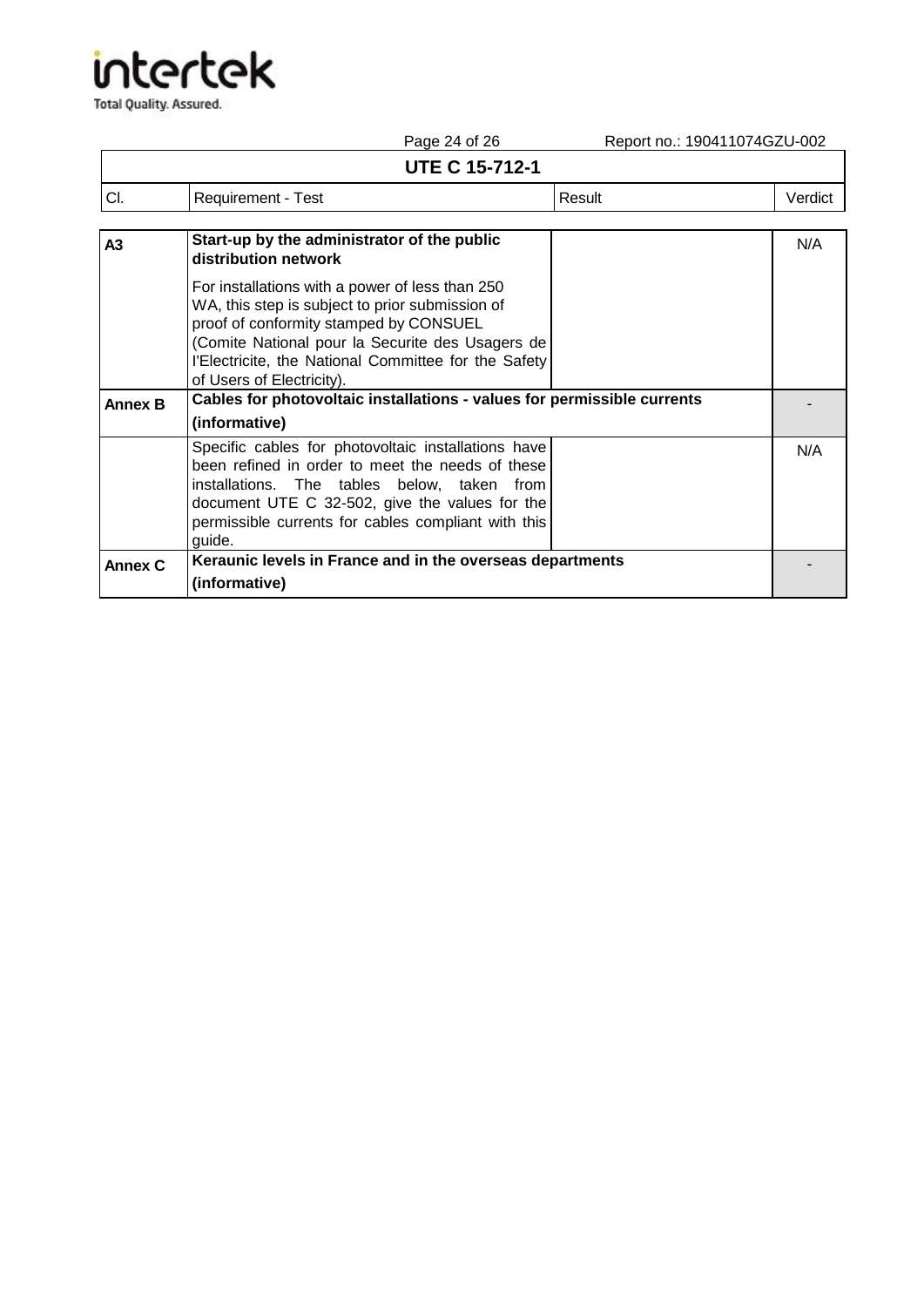|                       | Report no.: 190411074GZU-002<br>Page 24 of 26 |        |         |
|-----------------------|-----------------------------------------------|--------|---------|
| <b>UTE C 15-712-1</b> |                                               |        |         |
| CI.                   | Requirement - Test                            | Result | Verdict |
| $\ddot{\phantom{1}}$  | Start-un by the administrator of the public   |        | NI/A    |

| A <sub>3</sub> | Start-up by the administrator of the public<br>distribution network                                                                                                                                                                                                                   | N/A |
|----------------|---------------------------------------------------------------------------------------------------------------------------------------------------------------------------------------------------------------------------------------------------------------------------------------|-----|
|                | For installations with a power of less than 250<br>WA, this step is subject to prior submission of<br>proof of conformity stamped by CONSUEL<br>(Comite National pour la Securite des Usagers de<br>l'Electricite, the National Committee for the Safety<br>of Users of Electricity). |     |
| <b>Annex B</b> | Cables for photovoltaic installations - values for permissible currents                                                                                                                                                                                                               |     |
|                | (informative)                                                                                                                                                                                                                                                                         |     |
|                | Specific cables for photovoltaic installations have<br>been refined in order to meet the needs of these<br>installations. The tables below, taken from<br>document UTE C 32-502, give the values for the<br>permissible currents for cables compliant with this<br>guide.             | N/A |
| <b>Annex C</b> | Keraunic levels in France and in the overseas departments                                                                                                                                                                                                                             |     |
|                | (informative)                                                                                                                                                                                                                                                                         |     |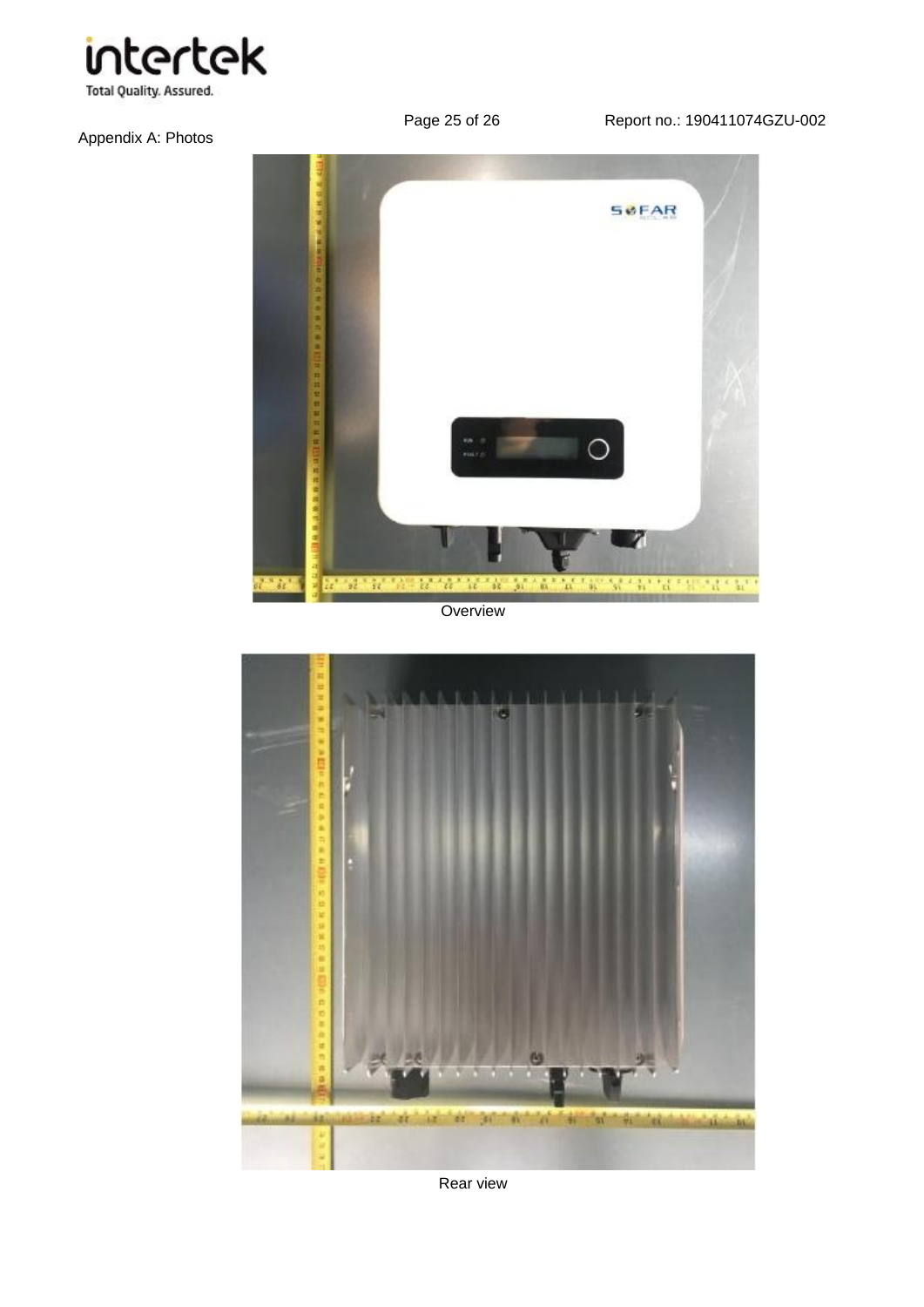

### Appendix A: Photos

Page 25 of 26 Report no.: 190411074GZU-002



**Overview** 



Rear view